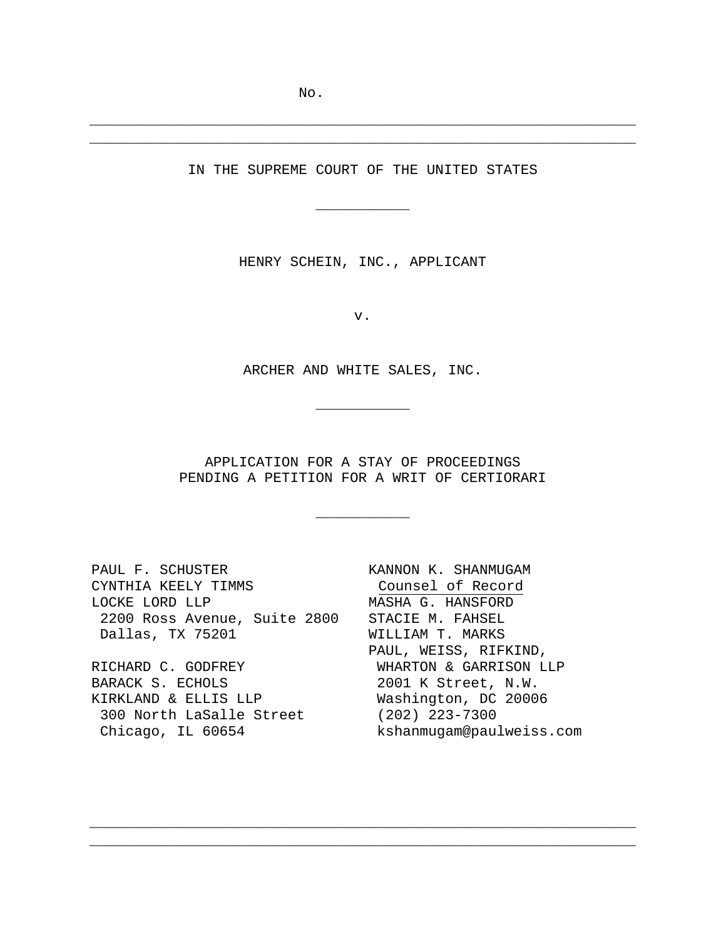### IN THE SUPREME COURT OF THE UNITED STATES

 $\overline{\phantom{a}}$  , we can also the set of  $\overline{\phantom{a}}$ 

\_\_\_\_\_\_\_\_\_\_\_\_\_\_\_\_\_\_\_\_\_\_\_\_\_\_\_\_\_\_\_\_\_\_\_\_\_\_\_\_\_\_\_\_\_\_\_\_\_\_\_\_\_\_\_\_\_\_\_\_\_\_\_\_ \_\_\_\_\_\_\_\_\_\_\_\_\_\_\_\_\_\_\_\_\_\_\_\_\_\_\_\_\_\_\_\_\_\_\_\_\_\_\_\_\_\_\_\_\_\_\_\_\_\_\_\_\_\_\_\_\_\_\_\_\_\_\_\_

HENRY SCHEIN, INC., APPLICANT

v.

ARCHER AND WHITE SALES, INC.

 $\overline{\phantom{a}}$  , we can also the set of  $\overline{\phantom{a}}$ 

APPLICATION FOR A STAY OF PROCEEDINGS PENDING A PETITION FOR A WRIT OF CERTIORARI

 $\overline{\phantom{a}}$  , where  $\overline{\phantom{a}}$ 

\_\_\_\_\_\_\_\_\_\_\_\_\_\_\_\_\_\_\_\_\_\_\_\_\_\_\_\_\_\_\_\_\_\_\_\_\_\_\_\_\_\_\_\_\_\_\_\_\_\_\_\_\_\_\_\_\_\_\_\_\_\_\_\_ \_\_\_\_\_\_\_\_\_\_\_\_\_\_\_\_\_\_\_\_\_\_\_\_\_\_\_\_\_\_\_\_\_\_\_\_\_\_\_\_\_\_\_\_\_\_\_\_\_\_\_\_\_\_\_\_\_\_\_\_\_\_\_\_

PAUL F. SCHUSTER CYNTHIA KEELY TIMMS LOCKE LORD LLP 2200 Ross Avenue, Suite 2800 STACIE M. FAHSEL Dallas, TX 75201 RICHARD C. GODFREY BARACK S. ECHOLS KIRKLAND & ELLIS LLP 300 North LaSalle Street

Chicago, IL 60654

KANNON K. SHANMUGAM Counsel of Record MASHA G. HANSFORD WILLIAM T. MARKS PAUL, WEISS, RIFKIND, WHARTON & GARRISON LLP 2001 K Street, N.W. Washington, DC 20006 (202) 223-7300 kshanmugam@paulweiss.com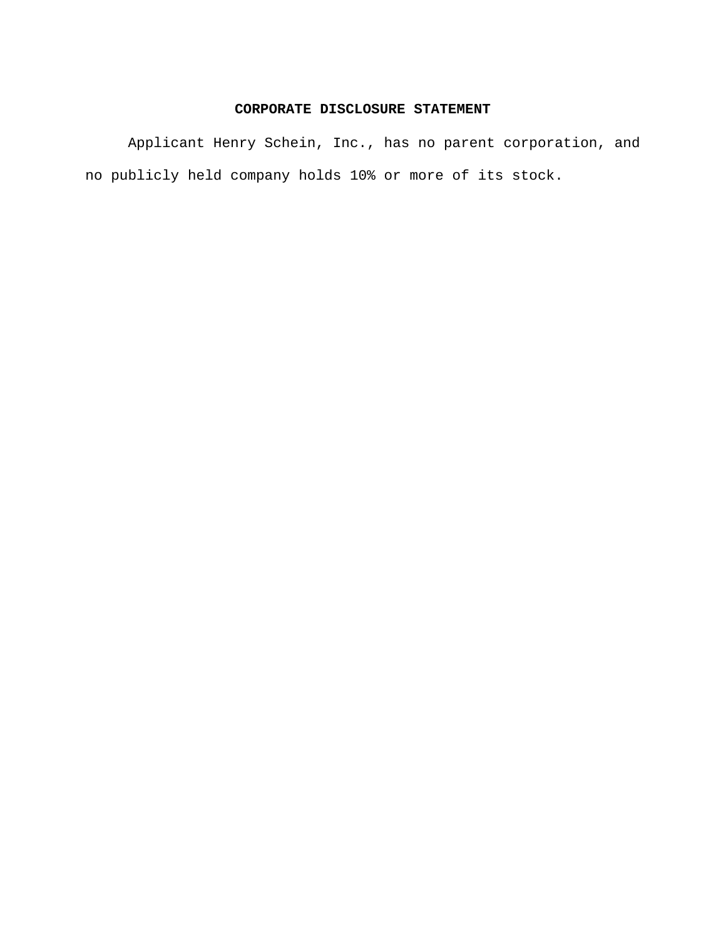### **CORPORATE DISCLOSURE STATEMENT**

Applicant Henry Schein, Inc., has no parent corporation, and no publicly held company holds 10% or more of its stock.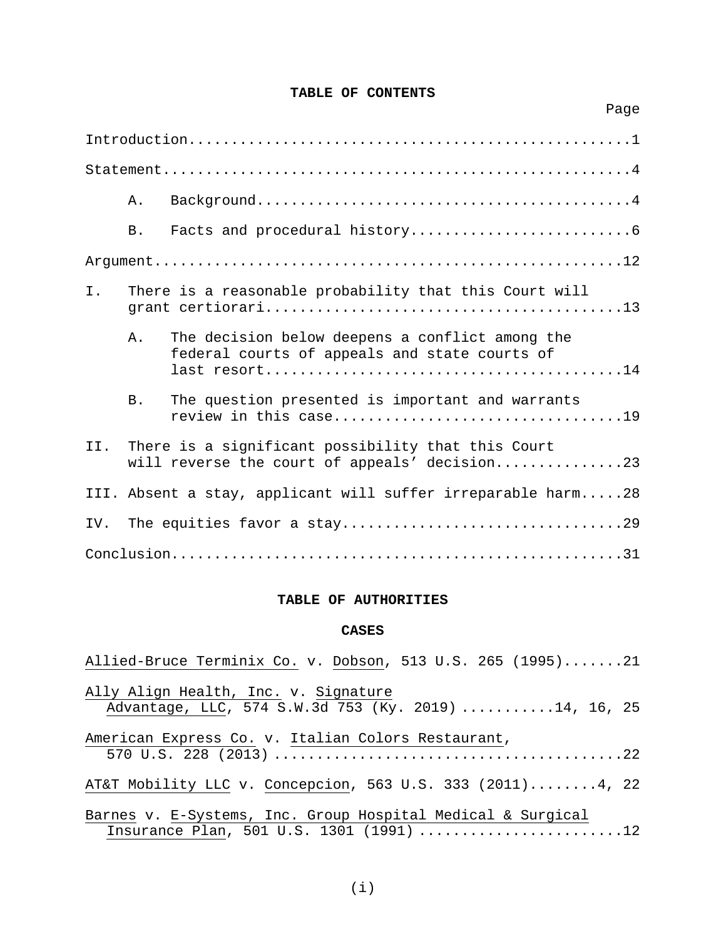# **TABLE OF CONTENTS**

Page

|     | Α.         |                                                                                                     |
|-----|------------|-----------------------------------------------------------------------------------------------------|
|     | B.         |                                                                                                     |
|     |            |                                                                                                     |
| Ι.  |            | There is a reasonable probability that this Court will                                              |
|     | Α.         | The decision below deepens a conflict among the<br>federal courts of appeals and state courts of    |
|     | <b>B</b> . | The question presented is important and warrants                                                    |
| II. |            | There is a significant possibility that this Court<br>will reverse the court of appeals' decision23 |
|     |            | III. Absent a stay, applicant will suffer irreparable harm28                                        |
| IV. |            |                                                                                                     |
|     |            |                                                                                                     |

### **TABLE OF AUTHORITIES**

### **CASES**

| Allied-Bruce Terminix Co. v. Dobson, 513 U.S. 265 (1995)21                                             |
|--------------------------------------------------------------------------------------------------------|
| Ally Align Health, Inc. v. Signature<br>Advantage, LLC, 574 S.W.3d 753 (Ky. 2019) 14, 16, 25           |
| American Express Co. v. Italian Colors Restaurant,                                                     |
| AT&T Mobility LLC v. Concepcion, 563 U.S. 333 (2011)4, 22                                              |
| Barnes v. E-Systems, Inc. Group Hospital Medical & Surgical<br>Insurance Plan, 501 U.S. 1301 (1991) 12 |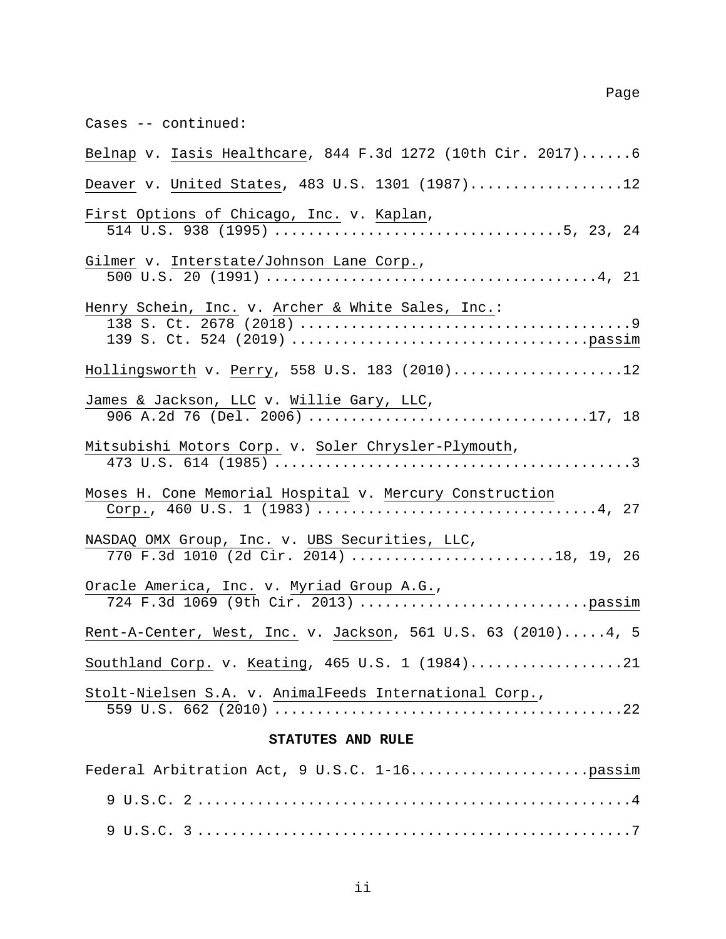Cases -- continued:

| Belnap v. Iasis Healthcare, 844 F.3d 1272 (10th Cir. 2017)6                                                                                                                                                                                                                                                                                                                        |
|------------------------------------------------------------------------------------------------------------------------------------------------------------------------------------------------------------------------------------------------------------------------------------------------------------------------------------------------------------------------------------|
| Deaver v. United States, 483 U.S. 1301 (1987)12                                                                                                                                                                                                                                                                                                                                    |
| First Options of Chicago, Inc. v. Kaplan,                                                                                                                                                                                                                                                                                                                                          |
| Gilmer v. Interstate/Johnson Lane Corp.,<br>500 U.S. 20 (1991) $\overline{\ldots}$ $\cdots$ $\cdots$ $\cdots$ $\cdots$ $\cdots$ $\cdots$ $\cdots$ $\cdots$ $\cdots$ $\cdots$ $\cdots$ $\cdots$ $\cdots$ $\cdots$ $\cdots$ $\cdots$ $\cdots$ $\cdots$ $\cdots$ $\cdots$ $\cdots$ $\cdots$ $\cdots$ $\cdots$ $\cdots$ $\cdots$ $\cdots$ $\cdots$ $\cdots$ $\cdots$ $\cdots$ $\cdots$ |
| Henry Schein, Inc. v. Archer & White Sales, Inc.:                                                                                                                                                                                                                                                                                                                                  |
| Hollingsworth v. Perry, 558 U.S. 183 (2010)12                                                                                                                                                                                                                                                                                                                                      |
| James & Jackson, LLC v. Willie Gary, LLC,                                                                                                                                                                                                                                                                                                                                          |
| Mitsubishi Motors Corp. v. Soler Chrysler-Plymouth,                                                                                                                                                                                                                                                                                                                                |
| Moses H. Cone Memorial Hospital v. Mercury Construction                                                                                                                                                                                                                                                                                                                            |
| NASDAQ OMX Group, Inc. v. UBS Securities, LLC,<br>770 F.3d 1010 (2d Cir. 2014) 18, 19, 26                                                                                                                                                                                                                                                                                          |
| Oracle America, Inc. v. Myriad Group A.G.,<br><u>acle America, Inc.</u> v. <u>Myriad Group A.G.,</u><br>724 F.3d 1069 (9th Cir. 2013) passim                                                                                                                                                                                                                                       |
| Rent-A-Center, West, Inc. v. Jackson, 561 U.S. 63 (2010) 4, 5                                                                                                                                                                                                                                                                                                                      |
| Southland Corp. v. Keating, 465 U.S. 1 (1984)21                                                                                                                                                                                                                                                                                                                                    |
| Stolt-Nielsen S.A. v. AnimalFeeds International Corp.,                                                                                                                                                                                                                                                                                                                             |

# **STATUTES AND RULE**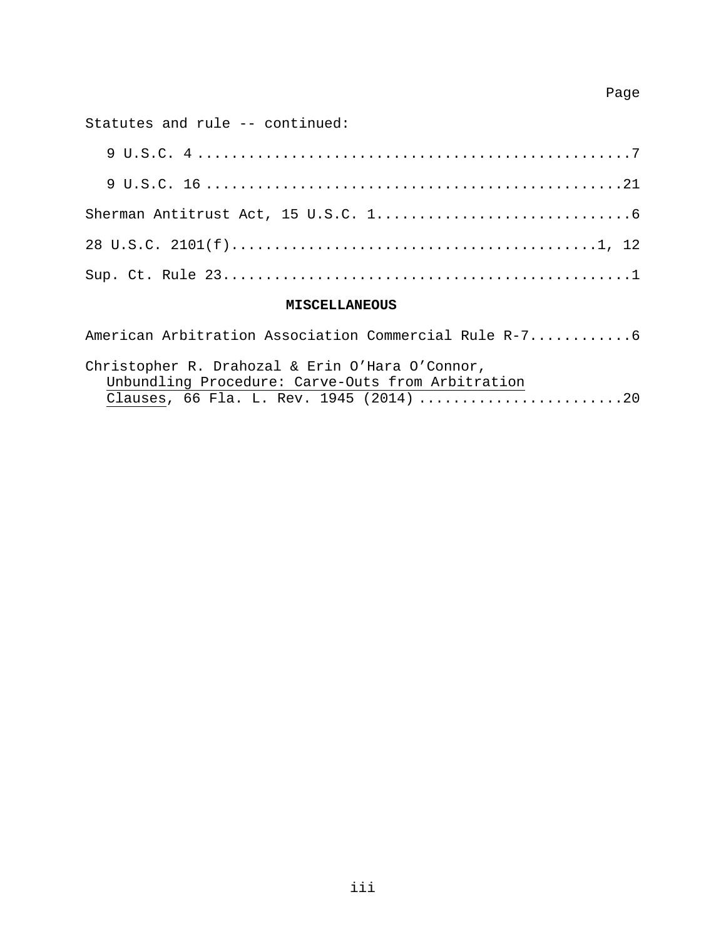# Page

Statutes and rule -- continued:

### **MISCELLANEOUS**

| Christopher R. Drahozal & Erin O'Hara O'Connor,   |  |
|---------------------------------------------------|--|
| Unbundling Procedure: Carve-Outs from Arbitration |  |
|                                                   |  |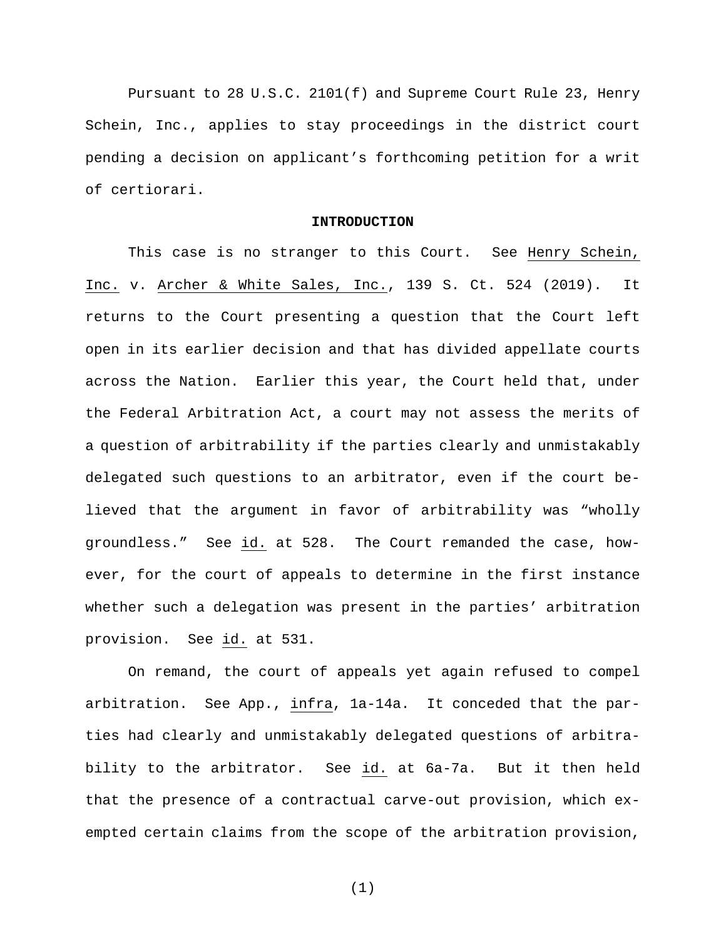Pursuant to 28 U.S.C. 2101(f) and Supreme Court Rule 23, Henry Schein, Inc., applies to stay proceedings in the district court pending a decision on applicant's forthcoming petition for a writ of certiorari.

#### **INTRODUCTION**

This case is no stranger to this Court. See Henry Schein, Inc. v. Archer & White Sales, Inc., 139 S. Ct. 524 (2019). It returns to the Court presenting a question that the Court left open in its earlier decision and that has divided appellate courts across the Nation. Earlier this year, the Court held that, under the Federal Arbitration Act, a court may not assess the merits of a question of arbitrability if the parties clearly and unmistakably delegated such questions to an arbitrator, even if the court believed that the argument in favor of arbitrability was "wholly groundless." See id. at 528. The Court remanded the case, however, for the court of appeals to determine in the first instance whether such a delegation was present in the parties' arbitration provision. See id. at 531.

On remand, the court of appeals yet again refused to compel arbitration. See App., infra, 1a-14a. It conceded that the parties had clearly and unmistakably delegated questions of arbitrability to the arbitrator. See id. at 6a-7a. But it then held that the presence of a contractual carve-out provision, which exempted certain claims from the scope of the arbitration provision,

(1)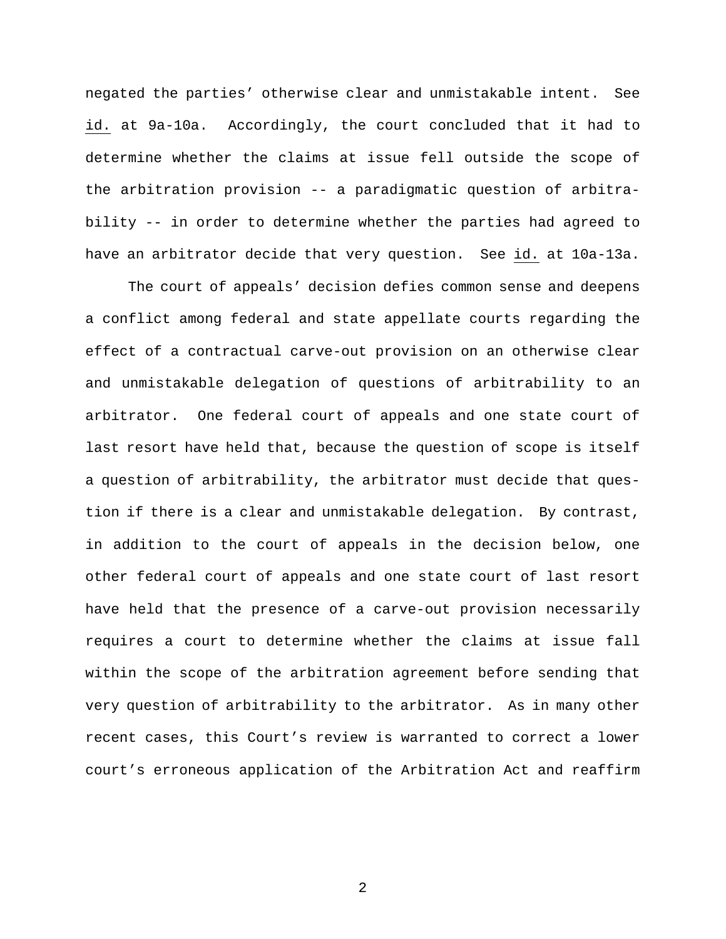negated the parties' otherwise clear and unmistakable intent. See id. at 9a-10a. Accordingly, the court concluded that it had to determine whether the claims at issue fell outside the scope of the arbitration provision -- a paradigmatic question of arbitrability -- in order to determine whether the parties had agreed to have an arbitrator decide that very question. See id. at 10a-13a.

The court of appeals' decision defies common sense and deepens a conflict among federal and state appellate courts regarding the effect of a contractual carve-out provision on an otherwise clear and unmistakable delegation of questions of arbitrability to an arbitrator. One federal court of appeals and one state court of last resort have held that, because the question of scope is itself a question of arbitrability, the arbitrator must decide that question if there is a clear and unmistakable delegation. By contrast, in addition to the court of appeals in the decision below, one other federal court of appeals and one state court of last resort have held that the presence of a carve-out provision necessarily requires a court to determine whether the claims at issue fall within the scope of the arbitration agreement before sending that very question of arbitrability to the arbitrator. As in many other recent cases, this Court's review is warranted to correct a lower court's erroneous application of the Arbitration Act and reaffirm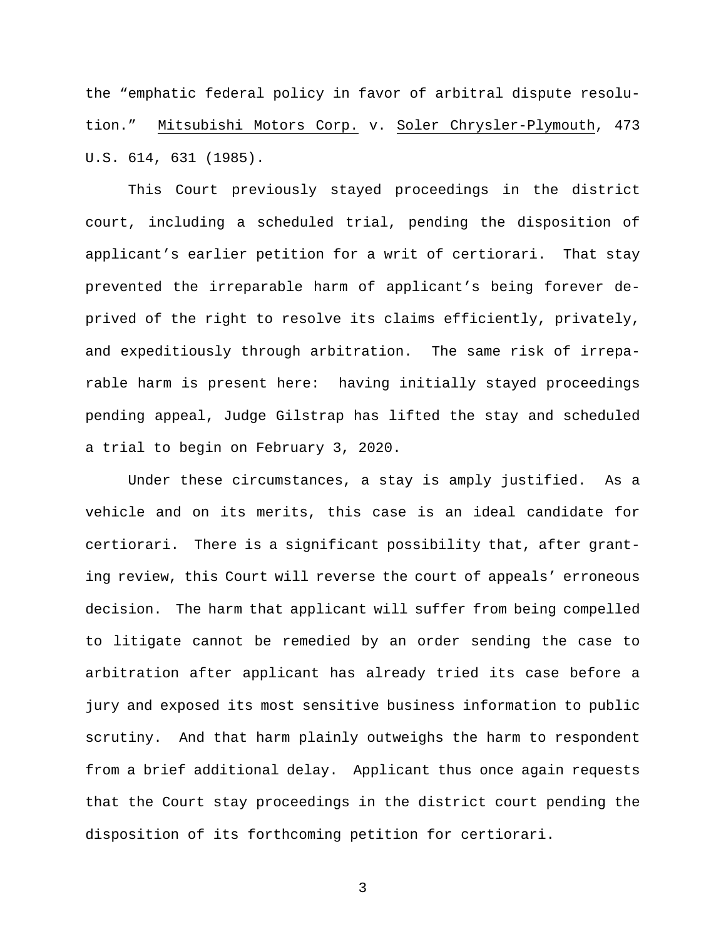the "emphatic federal policy in favor of arbitral dispute resolution." Mitsubishi Motors Corp. v. Soler Chrysler-Plymouth, 473 U.S. 614, 631 (1985).

This Court previously stayed proceedings in the district court, including a scheduled trial, pending the disposition of applicant's earlier petition for a writ of certiorari. That stay prevented the irreparable harm of applicant's being forever deprived of the right to resolve its claims efficiently, privately, and expeditiously through arbitration. The same risk of irreparable harm is present here: having initially stayed proceedings pending appeal, Judge Gilstrap has lifted the stay and scheduled a trial to begin on February 3, 2020.

Under these circumstances, a stay is amply justified. As a vehicle and on its merits, this case is an ideal candidate for certiorari. There is a significant possibility that, after granting review, this Court will reverse the court of appeals' erroneous decision. The harm that applicant will suffer from being compelled to litigate cannot be remedied by an order sending the case to arbitration after applicant has already tried its case before a jury and exposed its most sensitive business information to public scrutiny. And that harm plainly outweighs the harm to respondent from a brief additional delay. Applicant thus once again requests that the Court stay proceedings in the district court pending the disposition of its forthcoming petition for certiorari.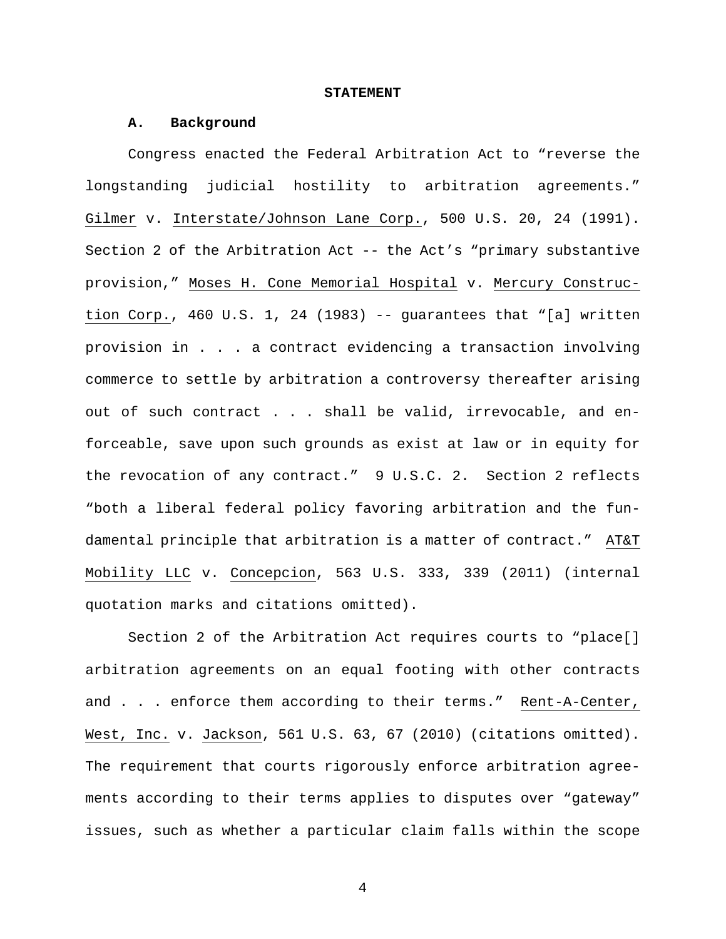#### **STATEMENT**

#### **A. Background**

Congress enacted the Federal Arbitration Act to "reverse the longstanding judicial hostility to arbitration agreements." Gilmer v. Interstate/Johnson Lane Corp., 500 U.S. 20, 24 (1991). Section 2 of the Arbitration Act -- the Act's "primary substantive provision," Moses H. Cone Memorial Hospital v. Mercury Construction Corp., 460 U.S. 1, 24 (1983) -- guarantees that "[a] written provision in . . . a contract evidencing a transaction involving commerce to settle by arbitration a controversy thereafter arising out of such contract . . . shall be valid, irrevocable, and enforceable, save upon such grounds as exist at law or in equity for the revocation of any contract." 9 U.S.C. 2. Section 2 reflects "both a liberal federal policy favoring arbitration and the fundamental principle that arbitration is a matter of contract." AT&T Mobility LLC v. Concepcion, 563 U.S. 333, 339 (2011) (internal quotation marks and citations omitted).

Section 2 of the Arbitration Act requires courts to "place[] arbitration agreements on an equal footing with other contracts and . . . enforce them according to their terms." Rent-A-Center, West, Inc. v. Jackson, 561 U.S. 63, 67 (2010) (citations omitted). The requirement that courts rigorously enforce arbitration agreements according to their terms applies to disputes over "gateway" issues, such as whether a particular claim falls within the scope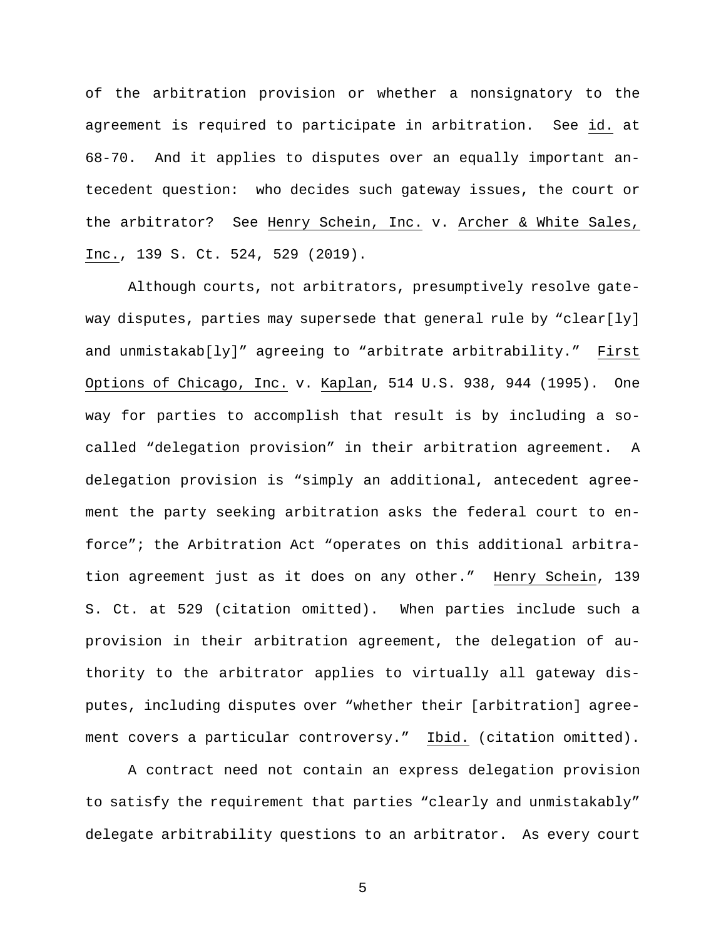of the arbitration provision or whether a nonsignatory to the agreement is required to participate in arbitration. See id. at 68-70. And it applies to disputes over an equally important antecedent question: who decides such gateway issues, the court or the arbitrator? See Henry Schein, Inc. v. Archer & White Sales, Inc., 139 S. Ct. 524, 529 (2019).

Although courts, not arbitrators, presumptively resolve gateway disputes, parties may supersede that general rule by "clear[ly] and unmistakab[ly]" agreeing to "arbitrate arbitrability." First Options of Chicago, Inc. v. Kaplan, 514 U.S. 938, 944 (1995). One way for parties to accomplish that result is by including a socalled "delegation provision" in their arbitration agreement. A delegation provision is "simply an additional, antecedent agreement the party seeking arbitration asks the federal court to enforce"; the Arbitration Act "operates on this additional arbitration agreement just as it does on any other." Henry Schein, 139 S. Ct. at 529 (citation omitted). When parties include such a provision in their arbitration agreement, the delegation of authority to the arbitrator applies to virtually all gateway disputes, including disputes over "whether their [arbitration] agreement covers a particular controversy." Ibid. (citation omitted).

A contract need not contain an express delegation provision to satisfy the requirement that parties "clearly and unmistakably" delegate arbitrability questions to an arbitrator. As every court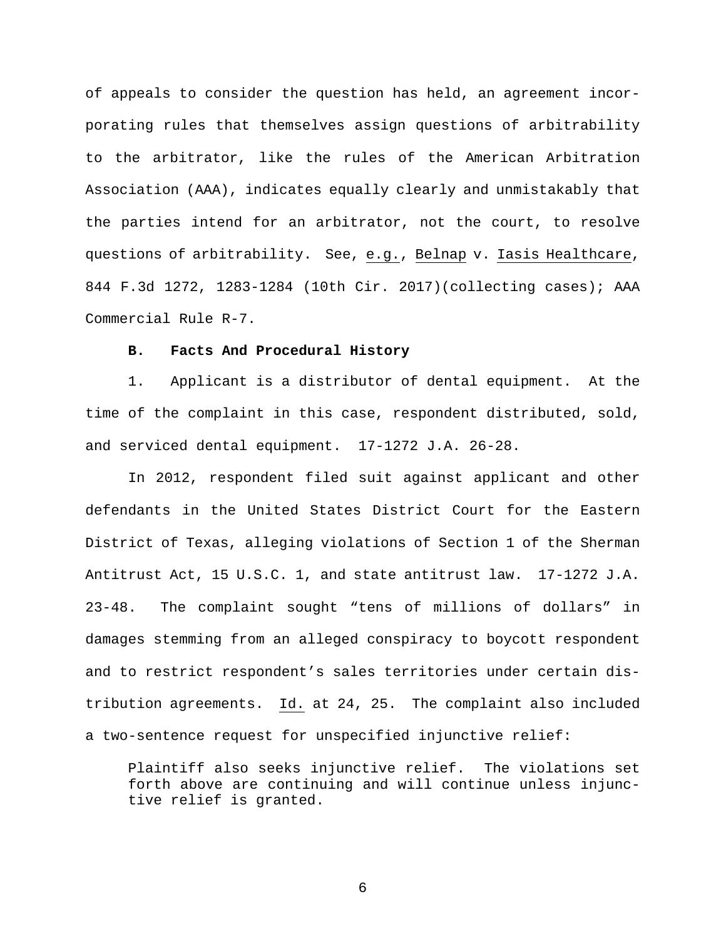of appeals to consider the question has held, an agreement incorporating rules that themselves assign questions of arbitrability to the arbitrator, like the rules of the American Arbitration Association (AAA), indicates equally clearly and unmistakably that the parties intend for an arbitrator, not the court, to resolve questions of arbitrability. See, e.g., Belnap v. Iasis Healthcare, 844 F.3d 1272, 1283-1284 (10th Cir. 2017)(collecting cases); AAA Commercial Rule R-7.

### **B. Facts And Procedural History**

1. Applicant is a distributor of dental equipment. At the time of the complaint in this case, respondent distributed, sold, and serviced dental equipment. 17-1272 J.A. 26-28.

In 2012, respondent filed suit against applicant and other defendants in the United States District Court for the Eastern District of Texas, alleging violations of Section 1 of the Sherman Antitrust Act, 15 U.S.C. 1, and state antitrust law. 17-1272 J.A. 23-48. The complaint sought "tens of millions of dollars" in damages stemming from an alleged conspiracy to boycott respondent and to restrict respondent's sales territories under certain distribution agreements. Id. at 24, 25. The complaint also included a two-sentence request for unspecified injunctive relief:

Plaintiff also seeks injunctive relief. The violations set forth above are continuing and will continue unless injunctive relief is granted.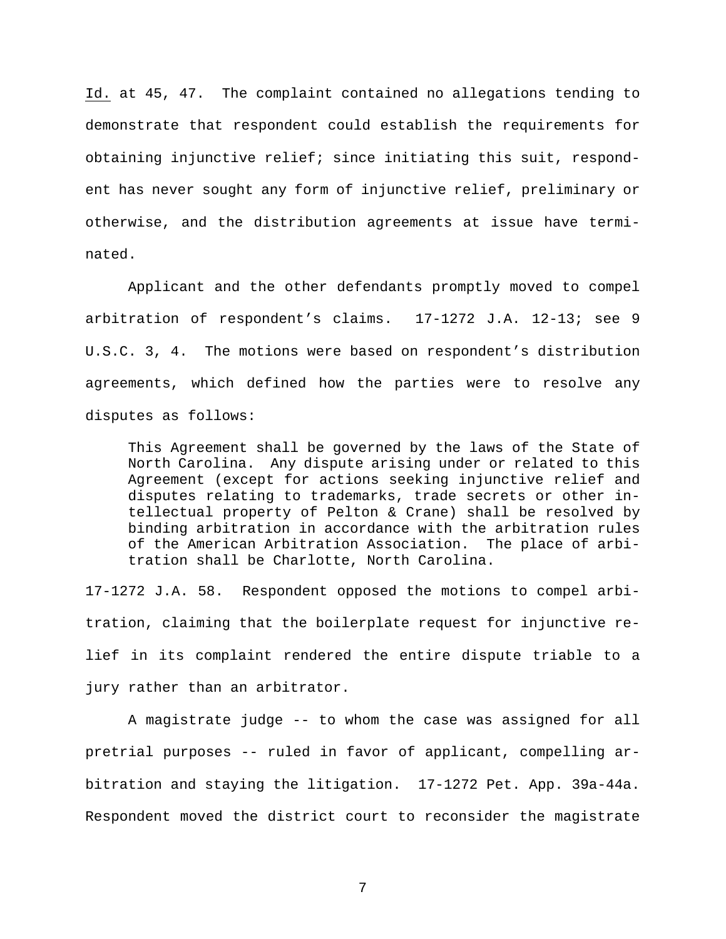Id. at 45, 47. The complaint contained no allegations tending to demonstrate that respondent could establish the requirements for obtaining injunctive relief; since initiating this suit, respondent has never sought any form of injunctive relief, preliminary or otherwise, and the distribution agreements at issue have terminated.

Applicant and the other defendants promptly moved to compel arbitration of respondent's claims. 17-1272 J.A. 12-13; see 9 U.S.C. 3, 4. The motions were based on respondent's distribution agreements, which defined how the parties were to resolve any disputes as follows:

This Agreement shall be governed by the laws of the State of North Carolina. Any dispute arising under or related to this Agreement (except for actions seeking injunctive relief and disputes relating to trademarks, trade secrets or other intellectual property of Pelton & Crane) shall be resolved by binding arbitration in accordance with the arbitration rules of the American Arbitration Association. The place of arbitration shall be Charlotte, North Carolina.

17-1272 J.A. 58. Respondent opposed the motions to compel arbitration, claiming that the boilerplate request for injunctive relief in its complaint rendered the entire dispute triable to a jury rather than an arbitrator.

A magistrate judge -- to whom the case was assigned for all pretrial purposes -- ruled in favor of applicant, compelling arbitration and staying the litigation. 17-1272 Pet. App. 39a-44a. Respondent moved the district court to reconsider the magistrate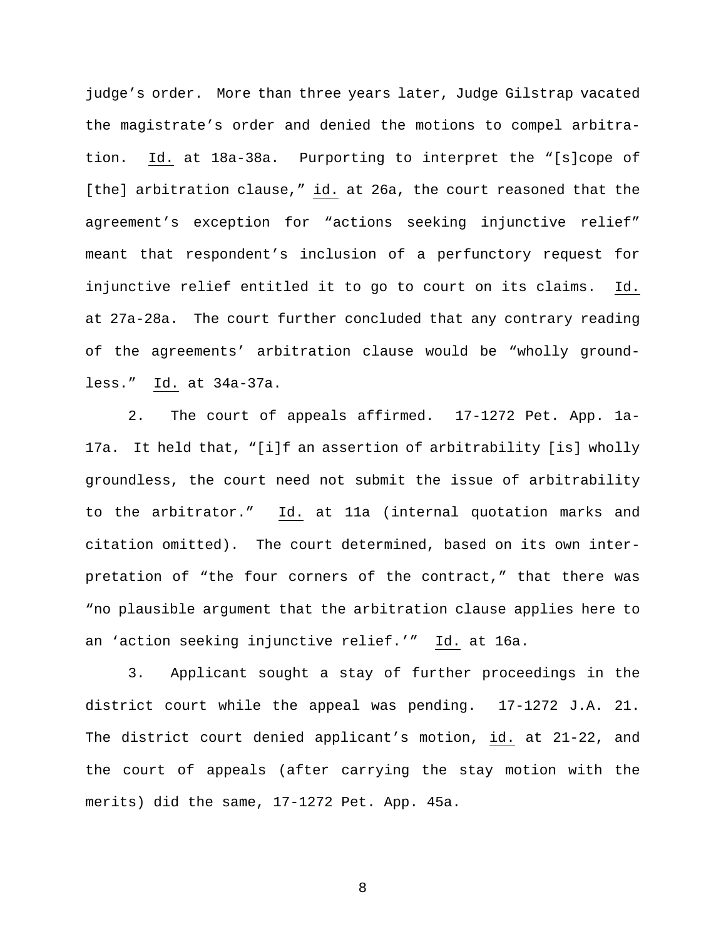judge's order. More than three years later, Judge Gilstrap vacated the magistrate's order and denied the motions to compel arbitration. Id. at 18a-38a. Purporting to interpret the "[s]cope of [the] arbitration clause," id. at 26a, the court reasoned that the agreement's exception for "actions seeking injunctive relief" meant that respondent's inclusion of a perfunctory request for injunctive relief entitled it to go to court on its claims. Id. at 27a-28a. The court further concluded that any contrary reading of the agreements' arbitration clause would be "wholly groundless." Id. at 34a-37a.

2. The court of appeals affirmed. 17-1272 Pet. App. 1a-17a. It held that, "[i]f an assertion of arbitrability [is] wholly groundless, the court need not submit the issue of arbitrability to the arbitrator." Id. at 11a (internal quotation marks and citation omitted). The court determined, based on its own interpretation of "the four corners of the contract," that there was "no plausible argument that the arbitration clause applies here to an 'action seeking injunctive relief.'" Id. at 16a.

3. Applicant sought a stay of further proceedings in the district court while the appeal was pending. 17-1272 J.A. 21. The district court denied applicant's motion, id. at 21-22, and the court of appeals (after carrying the stay motion with the merits) did the same, 17-1272 Pet. App. 45a.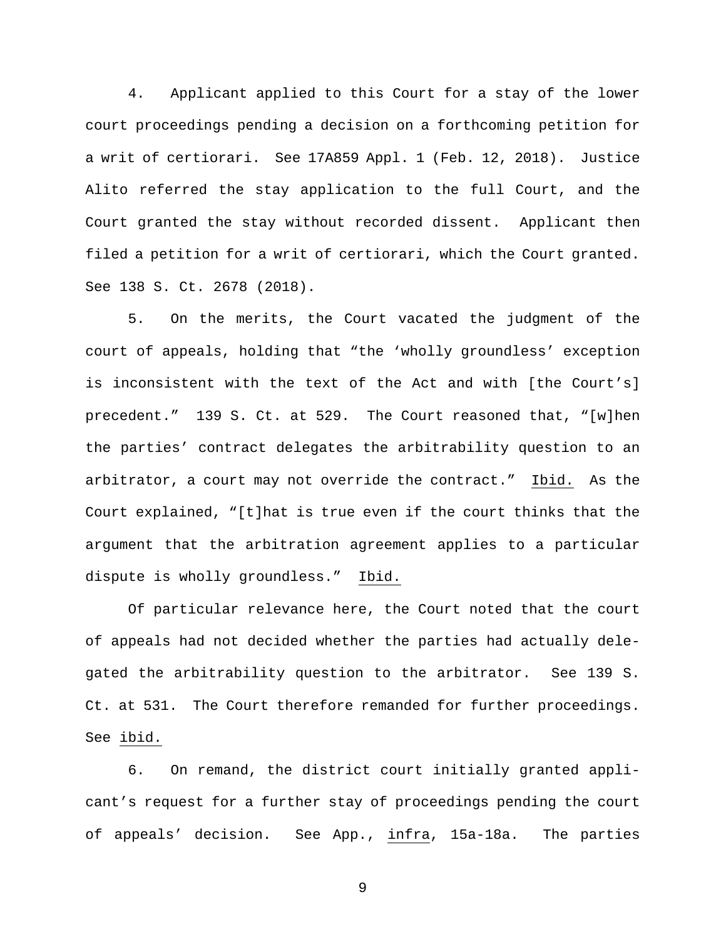4. Applicant applied to this Court for a stay of the lower court proceedings pending a decision on a forthcoming petition for a writ of certiorari. See 17A859 Appl. 1 (Feb. 12, 2018). Justice Alito referred the stay application to the full Court, and the Court granted the stay without recorded dissent. Applicant then filed a petition for a writ of certiorari, which the Court granted. See 138 S. Ct. 2678 (2018).

5. On the merits, the Court vacated the judgment of the court of appeals, holding that "the 'wholly groundless' exception is inconsistent with the text of the Act and with [the Court's] precedent." 139 S. Ct. at 529. The Court reasoned that, "[w]hen the parties' contract delegates the arbitrability question to an arbitrator, a court may not override the contract." Ibid. As the Court explained, "[t]hat is true even if the court thinks that the argument that the arbitration agreement applies to a particular dispute is wholly groundless." Ibid.

Of particular relevance here, the Court noted that the court of appeals had not decided whether the parties had actually delegated the arbitrability question to the arbitrator. See 139 S. Ct. at 531. The Court therefore remanded for further proceedings. See ibid.

6. On remand, the district court initially granted applicant's request for a further stay of proceedings pending the court of appeals' decision. See App., infra, 15a-18a. The parties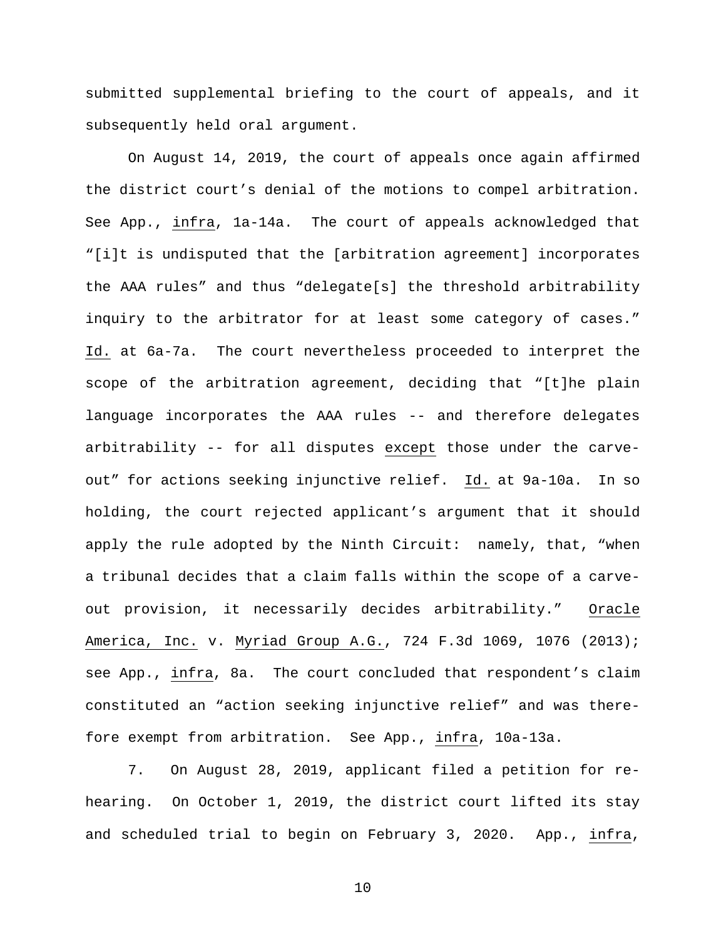submitted supplemental briefing to the court of appeals, and it subsequently held oral argument.

On August 14, 2019, the court of appeals once again affirmed the district court's denial of the motions to compel arbitration. See App., infra, 1a-14a. The court of appeals acknowledged that "[i]t is undisputed that the [arbitration agreement] incorporates the AAA rules" and thus "delegate[s] the threshold arbitrability inquiry to the arbitrator for at least some category of cases." Id. at 6a-7a. The court nevertheless proceeded to interpret the scope of the arbitration agreement, deciding that "[t]he plain language incorporates the AAA rules -- and therefore delegates arbitrability -- for all disputes except those under the carveout" for actions seeking injunctive relief. Id. at 9a-10a. In so holding, the court rejected applicant's argument that it should apply the rule adopted by the Ninth Circuit: namely, that, "when a tribunal decides that a claim falls within the scope of a carveout provision, it necessarily decides arbitrability." Oracle America, Inc. v. Myriad Group A.G., 724 F.3d 1069, 1076 (2013); see App., infra, 8a. The court concluded that respondent's claim constituted an "action seeking injunctive relief" and was therefore exempt from arbitration. See App., infra, 10a-13a.

7. On August 28, 2019, applicant filed a petition for rehearing. On October 1, 2019, the district court lifted its stay and scheduled trial to begin on February 3, 2020. App., infra,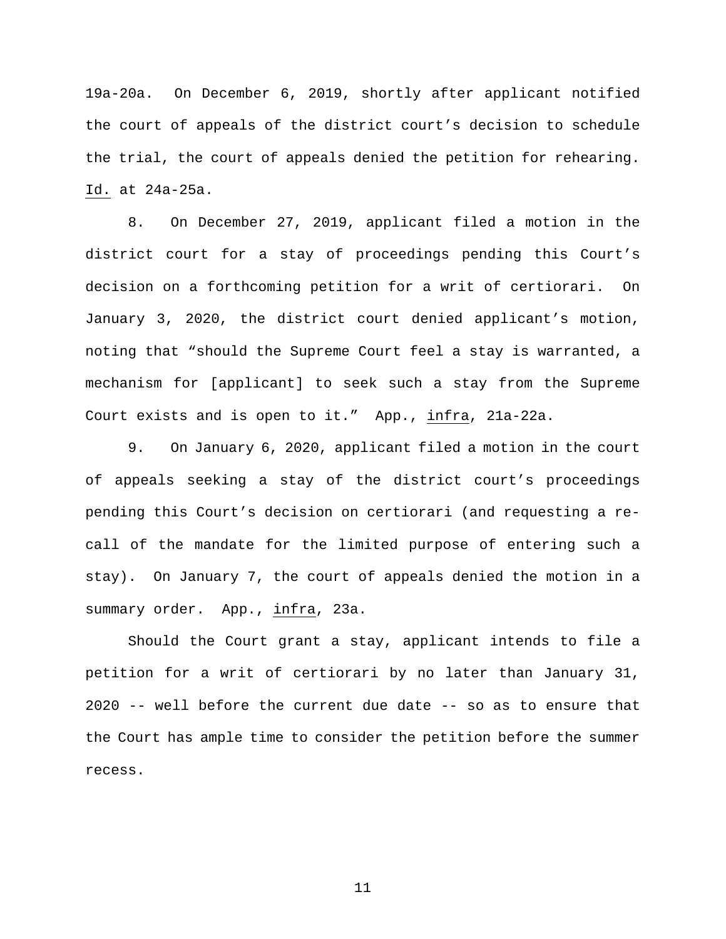19a-20a. On December 6, 2019, shortly after applicant notified the court of appeals of the district court's decision to schedule the trial, the court of appeals denied the petition for rehearing. Id. at 24a-25a.

8. On December 27, 2019, applicant filed a motion in the district court for a stay of proceedings pending this Court's decision on a forthcoming petition for a writ of certiorari. On January 3, 2020, the district court denied applicant's motion, noting that "should the Supreme Court feel a stay is warranted, a mechanism for [applicant] to seek such a stay from the Supreme Court exists and is open to it." App., infra, 21a-22a.

9. On January 6, 2020, applicant filed a motion in the court of appeals seeking a stay of the district court's proceedings pending this Court's decision on certiorari (and requesting a recall of the mandate for the limited purpose of entering such a stay). On January 7, the court of appeals denied the motion in a summary order. App., infra, 23a.

Should the Court grant a stay, applicant intends to file a petition for a writ of certiorari by no later than January 31, 2020 -- well before the current due date -- so as to ensure that the Court has ample time to consider the petition before the summer recess.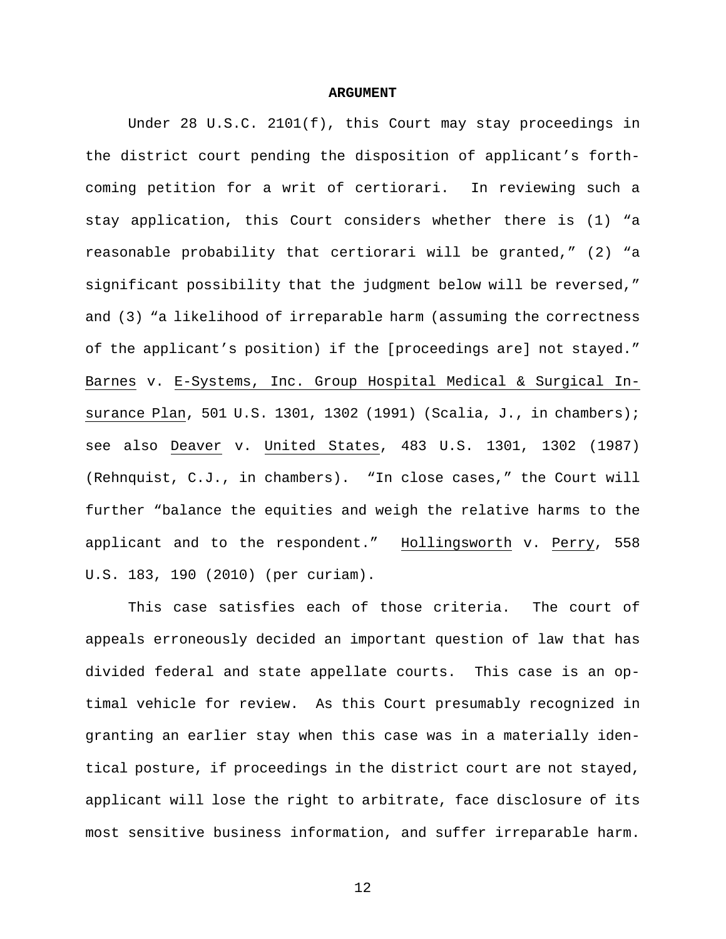#### **ARGUMENT**

Under 28 U.S.C. 2101(f), this Court may stay proceedings in the district court pending the disposition of applicant's forthcoming petition for a writ of certiorari. In reviewing such a stay application, this Court considers whether there is (1) "a reasonable probability that certiorari will be granted," (2) "a significant possibility that the judgment below will be reversed," and (3) "a likelihood of irreparable harm (assuming the correctness of the applicant's position) if the [proceedings are] not stayed." Barnes v. E-Systems, Inc. Group Hospital Medical & Surgical Insurance Plan, 501 U.S. 1301, 1302 (1991) (Scalia, J., in chambers); see also Deaver v. United States, 483 U.S. 1301, 1302 (1987) (Rehnquist, C.J., in chambers). "In close cases," the Court will further "balance the equities and weigh the relative harms to the applicant and to the respondent." Hollingsworth v. Perry, 558 U.S. 183, 190 (2010) (per curiam).

This case satisfies each of those criteria. The court of appeals erroneously decided an important question of law that has divided federal and state appellate courts. This case is an optimal vehicle for review. As this Court presumably recognized in granting an earlier stay when this case was in a materially identical posture, if proceedings in the district court are not stayed, applicant will lose the right to arbitrate, face disclosure of its most sensitive business information, and suffer irreparable harm.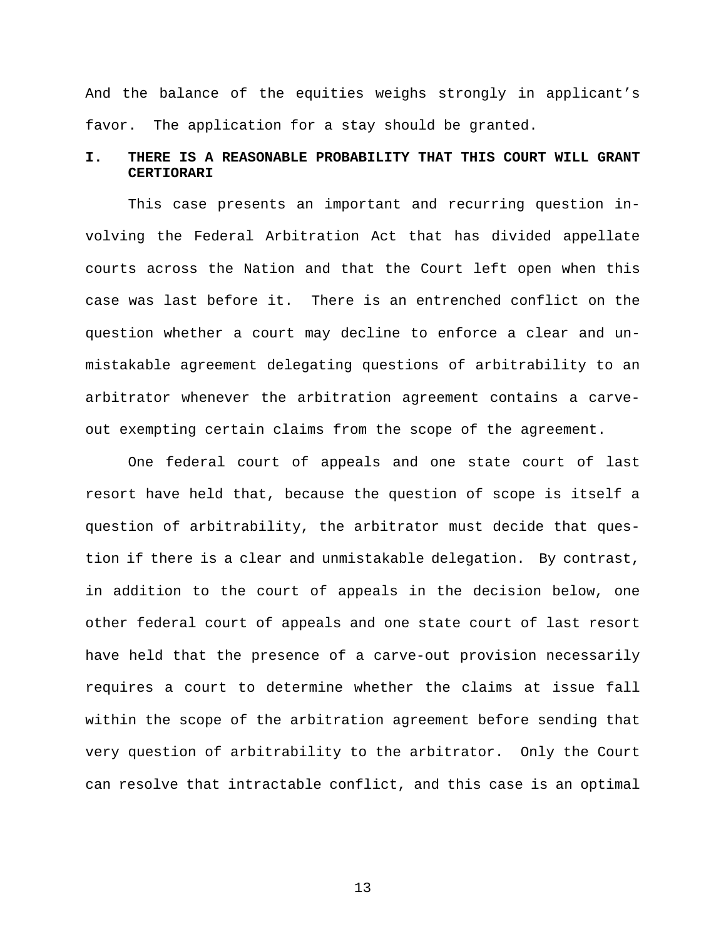And the balance of the equities weighs strongly in applicant's favor. The application for a stay should be granted.

# **I. THERE IS A REASONABLE PROBABILITY THAT THIS COURT WILL GRANT CERTIORARI**

This case presents an important and recurring question involving the Federal Arbitration Act that has divided appellate courts across the Nation and that the Court left open when this case was last before it. There is an entrenched conflict on the question whether a court may decline to enforce a clear and unmistakable agreement delegating questions of arbitrability to an arbitrator whenever the arbitration agreement contains a carveout exempting certain claims from the scope of the agreement.

One federal court of appeals and one state court of last resort have held that, because the question of scope is itself a question of arbitrability, the arbitrator must decide that question if there is a clear and unmistakable delegation. By contrast, in addition to the court of appeals in the decision below, one other federal court of appeals and one state court of last resort have held that the presence of a carve-out provision necessarily requires a court to determine whether the claims at issue fall within the scope of the arbitration agreement before sending that very question of arbitrability to the arbitrator. Only the Court can resolve that intractable conflict, and this case is an optimal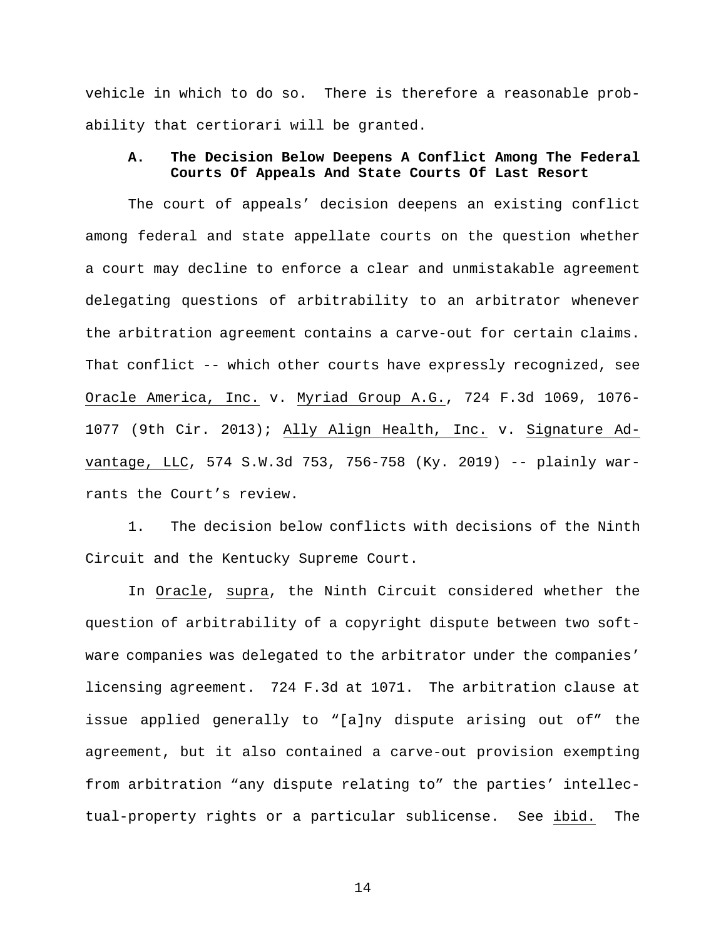vehicle in which to do so. There is therefore a reasonable probability that certiorari will be granted.

## **A. The Decision Below Deepens A Conflict Among The Federal Courts Of Appeals And State Courts Of Last Resort**

The court of appeals' decision deepens an existing conflict among federal and state appellate courts on the question whether a court may decline to enforce a clear and unmistakable agreement delegating questions of arbitrability to an arbitrator whenever the arbitration agreement contains a carve-out for certain claims. That conflict -- which other courts have expressly recognized, see Oracle America, Inc. v. Myriad Group A.G., 724 F.3d 1069, 1076- 1077 (9th Cir. 2013); Ally Align Health, Inc. v. Signature Advantage, LLC, 574 S.W.3d 753, 756-758 (Ky. 2019) -- plainly warrants the Court's review.

1. The decision below conflicts with decisions of the Ninth Circuit and the Kentucky Supreme Court.

In Oracle, supra, the Ninth Circuit considered whether the question of arbitrability of a copyright dispute between two software companies was delegated to the arbitrator under the companies' licensing agreement. 724 F.3d at 1071. The arbitration clause at issue applied generally to "[a]ny dispute arising out of" the agreement, but it also contained a carve-out provision exempting from arbitration "any dispute relating to" the parties' intellectual-property rights or a particular sublicense. See ibid. The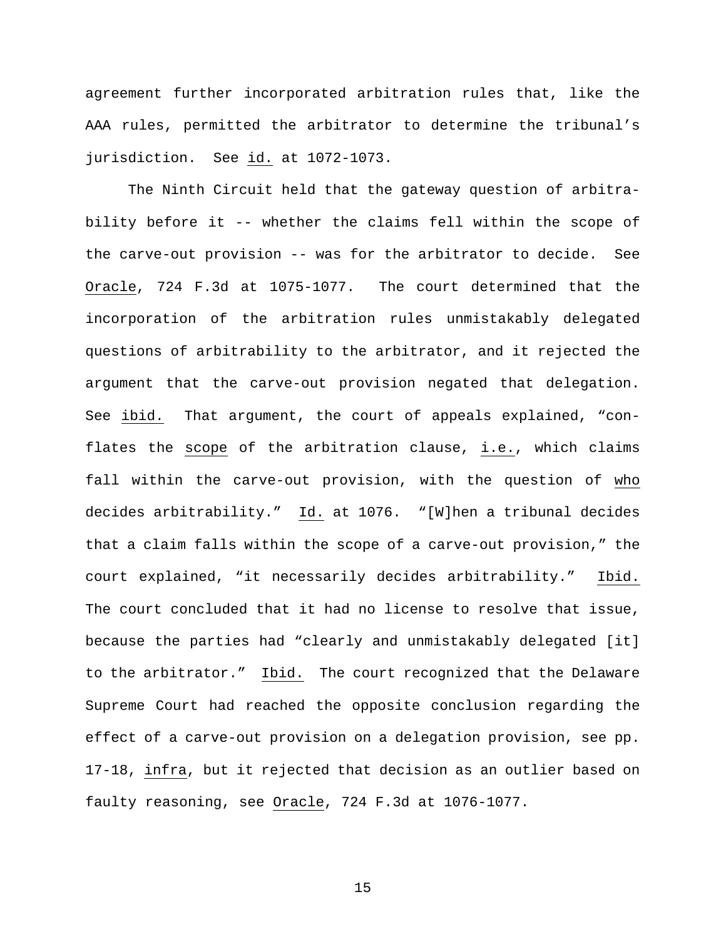agreement further incorporated arbitration rules that, like the AAA rules, permitted the arbitrator to determine the tribunal's jurisdiction. See id. at 1072-1073.

The Ninth Circuit held that the gateway question of arbitrability before it -- whether the claims fell within the scope of the carve-out provision -- was for the arbitrator to decide. See Oracle, 724 F.3d at 1075-1077. The court determined that the incorporation of the arbitration rules unmistakably delegated questions of arbitrability to the arbitrator, and it rejected the argument that the carve-out provision negated that delegation. See ibid. That argument, the court of appeals explained, "conflates the scope of the arbitration clause, i.e., which claims fall within the carve-out provision, with the question of who decides arbitrability." Id. at 1076. "[W]hen a tribunal decides that a claim falls within the scope of a carve-out provision," the court explained, "it necessarily decides arbitrability." Ibid. The court concluded that it had no license to resolve that issue, because the parties had "clearly and unmistakably delegated [it] to the arbitrator." Ibid. The court recognized that the Delaware Supreme Court had reached the opposite conclusion regarding the effect of a carve-out provision on a delegation provision, see pp. 17-18, infra, but it rejected that decision as an outlier based on faulty reasoning, see Oracle, 724 F.3d at 1076-1077.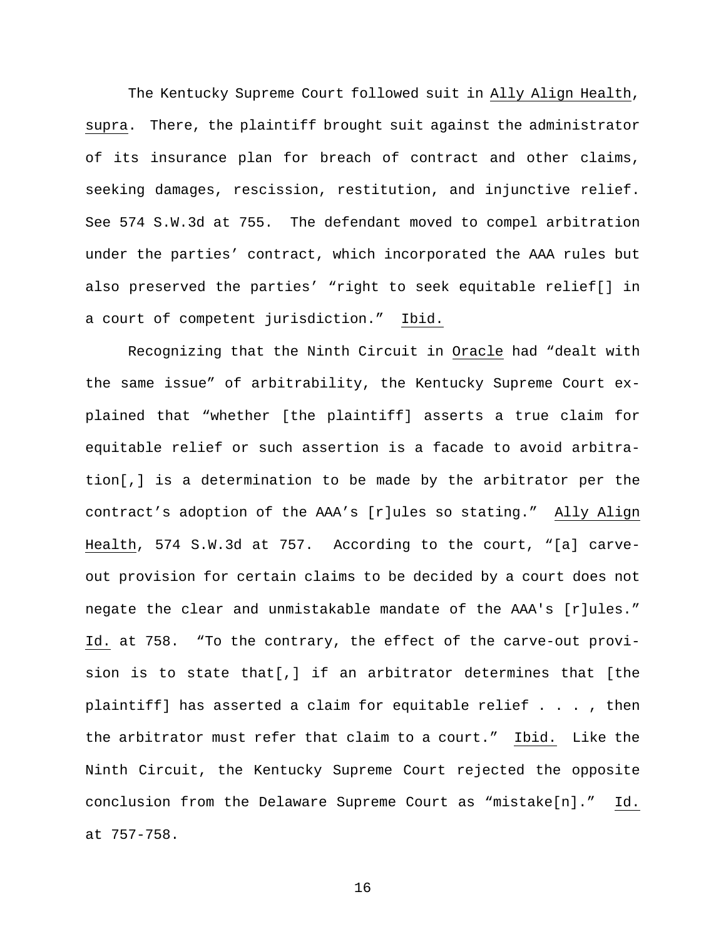The Kentucky Supreme Court followed suit in Ally Align Health, supra. There, the plaintiff brought suit against the administrator of its insurance plan for breach of contract and other claims, seeking damages, rescission, restitution, and injunctive relief. See 574 S.W.3d at 755. The defendant moved to compel arbitration under the parties' contract, which incorporated the AAA rules but also preserved the parties' "right to seek equitable relief[] in a court of competent jurisdiction." Ibid.

Recognizing that the Ninth Circuit in Oracle had "dealt with the same issue" of arbitrability, the Kentucky Supreme Court explained that "whether [the plaintiff] asserts a true claim for equitable relief or such assertion is a facade to avoid arbitration[,] is a determination to be made by the arbitrator per the contract's adoption of the AAA's [r]ules so stating." Ally Align Health, 574 S.W.3d at 757. According to the court, "[a] carveout provision for certain claims to be decided by a court does not negate the clear and unmistakable mandate of the AAA's [r]ules." Id. at 758. "To the contrary, the effect of the carve-out provision is to state that[,] if an arbitrator determines that [the plaintiff] has asserted a claim for equitable relief . . . , then the arbitrator must refer that claim to a court." Ibid. Like the Ninth Circuit, the Kentucky Supreme Court rejected the opposite conclusion from the Delaware Supreme Court as "mistake[n]." Id. at 757-758.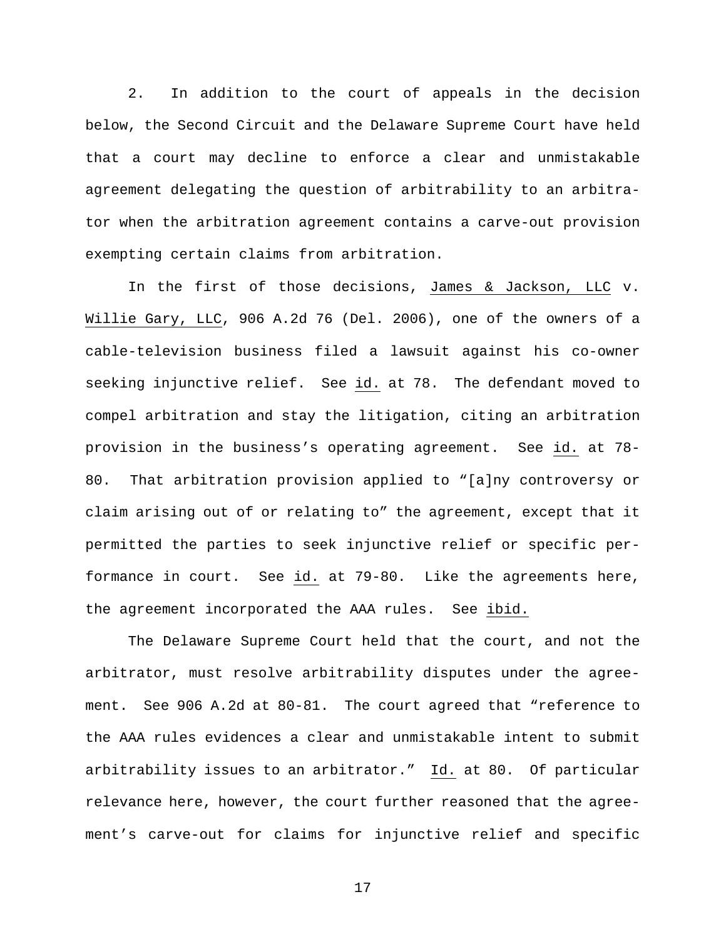2. In addition to the court of appeals in the decision below, the Second Circuit and the Delaware Supreme Court have held that a court may decline to enforce a clear and unmistakable agreement delegating the question of arbitrability to an arbitrator when the arbitration agreement contains a carve-out provision exempting certain claims from arbitration.

In the first of those decisions, James & Jackson, LLC v. Willie Gary, LLC, 906 A.2d 76 (Del. 2006), one of the owners of a cable-television business filed a lawsuit against his co-owner seeking injunctive relief. See id. at 78. The defendant moved to compel arbitration and stay the litigation, citing an arbitration provision in the business's operating agreement. See id. at 78- 80. That arbitration provision applied to "[a]ny controversy or claim arising out of or relating to" the agreement, except that it permitted the parties to seek injunctive relief or specific performance in court. See id. at 79-80. Like the agreements here, the agreement incorporated the AAA rules. See ibid.

The Delaware Supreme Court held that the court, and not the arbitrator, must resolve arbitrability disputes under the agreement. See 906 A.2d at 80-81. The court agreed that "reference to the AAA rules evidences a clear and unmistakable intent to submit arbitrability issues to an arbitrator." Id. at 80. Of particular relevance here, however, the court further reasoned that the agreement's carve-out for claims for injunctive relief and specific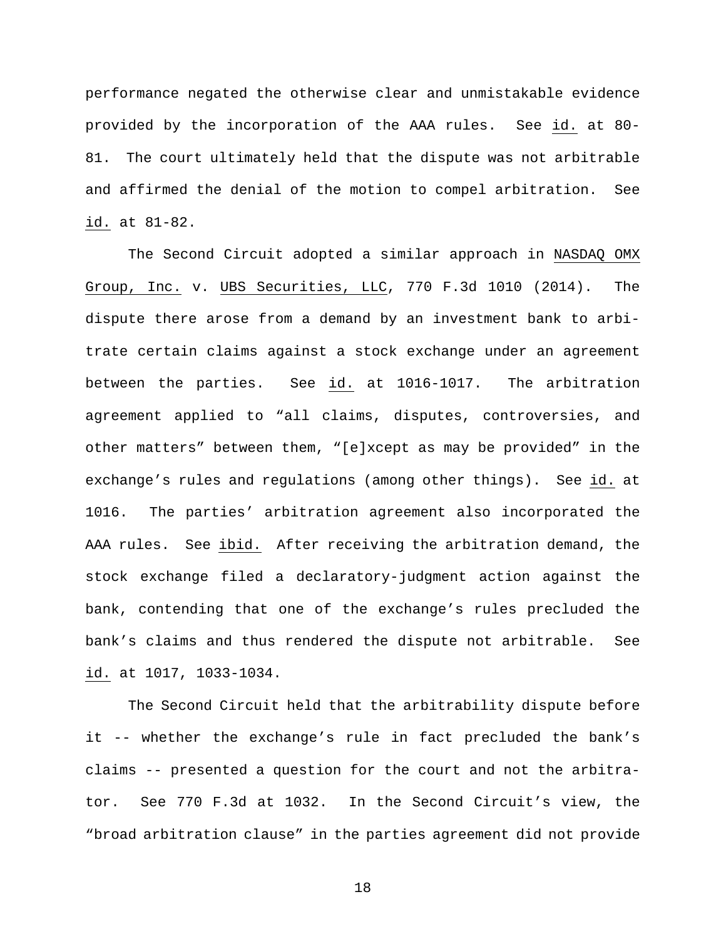performance negated the otherwise clear and unmistakable evidence provided by the incorporation of the AAA rules. See id. at 80- 81. The court ultimately held that the dispute was not arbitrable and affirmed the denial of the motion to compel arbitration. See id. at 81-82.

The Second Circuit adopted a similar approach in NASDAQ OMX Group, Inc. v. UBS Securities, LLC, 770 F.3d 1010 (2014). The dispute there arose from a demand by an investment bank to arbitrate certain claims against a stock exchange under an agreement between the parties. See id. at 1016-1017. The arbitration agreement applied to "all claims, disputes, controversies, and other matters" between them, "[e]xcept as may be provided" in the exchange's rules and regulations (among other things). See id. at 1016. The parties' arbitration agreement also incorporated the AAA rules. See ibid. After receiving the arbitration demand, the stock exchange filed a declaratory-judgment action against the bank, contending that one of the exchange's rules precluded the bank's claims and thus rendered the dispute not arbitrable. See id. at 1017, 1033-1034.

The Second Circuit held that the arbitrability dispute before it -- whether the exchange's rule in fact precluded the bank's claims -- presented a question for the court and not the arbitrator. See 770 F.3d at 1032. In the Second Circuit's view, the "broad arbitration clause" in the parties agreement did not provide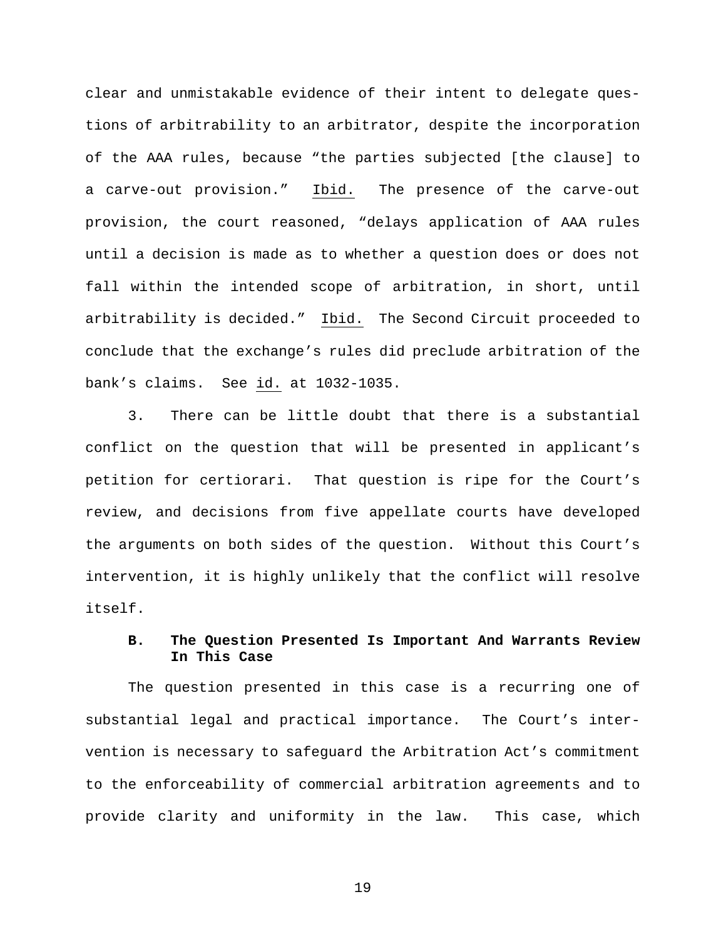clear and unmistakable evidence of their intent to delegate questions of arbitrability to an arbitrator, despite the incorporation of the AAA rules, because "the parties subjected [the clause] to a carve-out provision." Ibid. The presence of the carve-out provision, the court reasoned, "delays application of AAA rules until a decision is made as to whether a question does or does not fall within the intended scope of arbitration, in short, until arbitrability is decided." Ibid. The Second Circuit proceeded to conclude that the exchange's rules did preclude arbitration of the bank's claims. See id. at 1032-1035.

3. There can be little doubt that there is a substantial conflict on the question that will be presented in applicant's petition for certiorari. That question is ripe for the Court's review, and decisions from five appellate courts have developed the arguments on both sides of the question. Without this Court's intervention, it is highly unlikely that the conflict will resolve itself.

## **B. The Question Presented Is Important And Warrants Review In This Case**

The question presented in this case is a recurring one of substantial legal and practical importance. The Court's intervention is necessary to safeguard the Arbitration Act's commitment to the enforceability of commercial arbitration agreements and to provide clarity and uniformity in the law. This case, which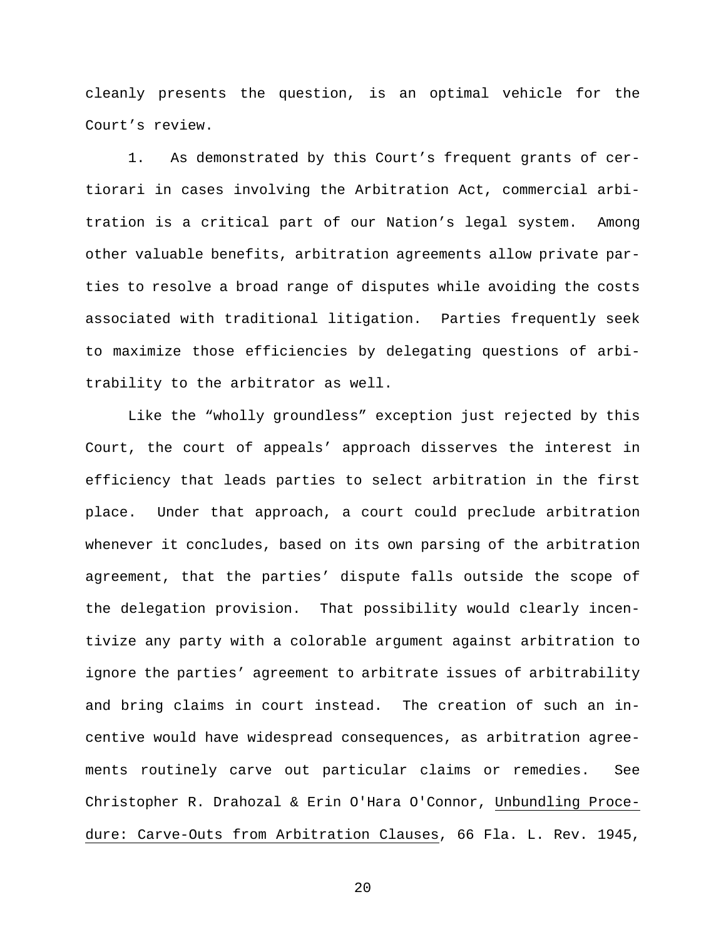cleanly presents the question, is an optimal vehicle for the Court's review.

1. As demonstrated by this Court's frequent grants of certiorari in cases involving the Arbitration Act, commercial arbitration is a critical part of our Nation's legal system. Among other valuable benefits, arbitration agreements allow private parties to resolve a broad range of disputes while avoiding the costs associated with traditional litigation. Parties frequently seek to maximize those efficiencies by delegating questions of arbitrability to the arbitrator as well.

Like the "wholly groundless" exception just rejected by this Court, the court of appeals' approach disserves the interest in efficiency that leads parties to select arbitration in the first place. Under that approach, a court could preclude arbitration whenever it concludes, based on its own parsing of the arbitration agreement, that the parties' dispute falls outside the scope of the delegation provision. That possibility would clearly incentivize any party with a colorable argument against arbitration to ignore the parties' agreement to arbitrate issues of arbitrability and bring claims in court instead. The creation of such an incentive would have widespread consequences, as arbitration agreements routinely carve out particular claims or remedies. See Christopher R. Drahozal & Erin O'Hara O'Connor, Unbundling Procedure: Carve-Outs from Arbitration Clauses, 66 Fla. L. Rev. 1945,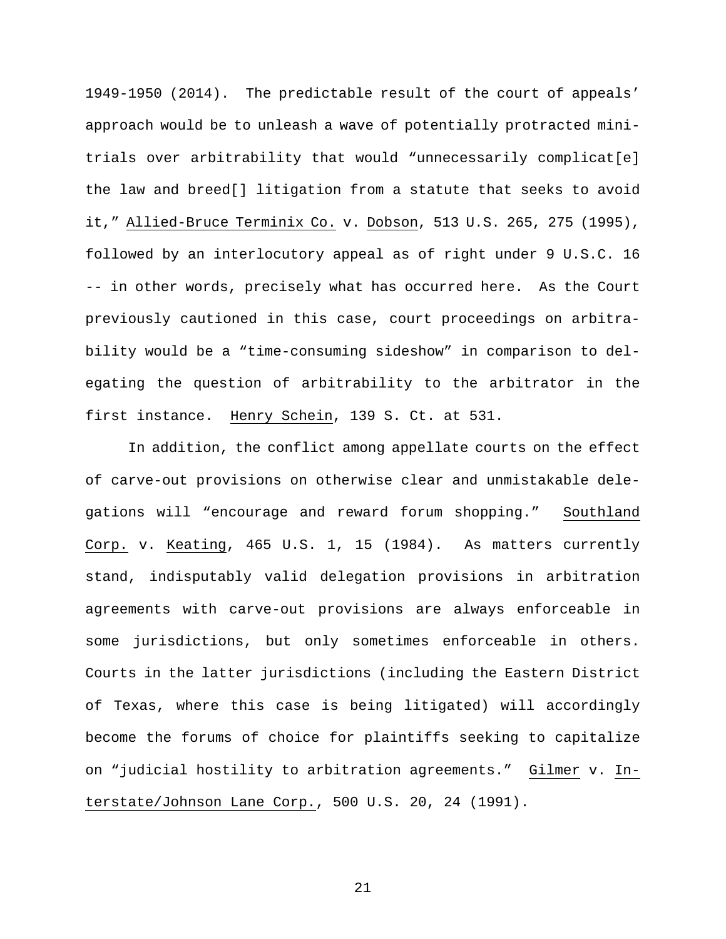1949-1950 (2014). The predictable result of the court of appeals' approach would be to unleash a wave of potentially protracted minitrials over arbitrability that would "unnecessarily complicat[e] the law and breed[] litigation from a statute that seeks to avoid it," Allied-Bruce Terminix Co. v. Dobson, 513 U.S. 265, 275 (1995), followed by an interlocutory appeal as of right under 9 U.S.C. 16 -- in other words, precisely what has occurred here. As the Court previously cautioned in this case, court proceedings on arbitrability would be a "time-consuming sideshow" in comparison to delegating the question of arbitrability to the arbitrator in the first instance. Henry Schein, 139 S. Ct. at 531.

In addition, the conflict among appellate courts on the effect of carve-out provisions on otherwise clear and unmistakable delegations will "encourage and reward forum shopping." Southland Corp. v. Keating, 465 U.S. 1, 15 (1984). As matters currently stand, indisputably valid delegation provisions in arbitration agreements with carve-out provisions are always enforceable in some jurisdictions, but only sometimes enforceable in others. Courts in the latter jurisdictions (including the Eastern District of Texas, where this case is being litigated) will accordingly become the forums of choice for plaintiffs seeking to capitalize on "judicial hostility to arbitration agreements." Gilmer v. Interstate/Johnson Lane Corp., 500 U.S. 20, 24 (1991).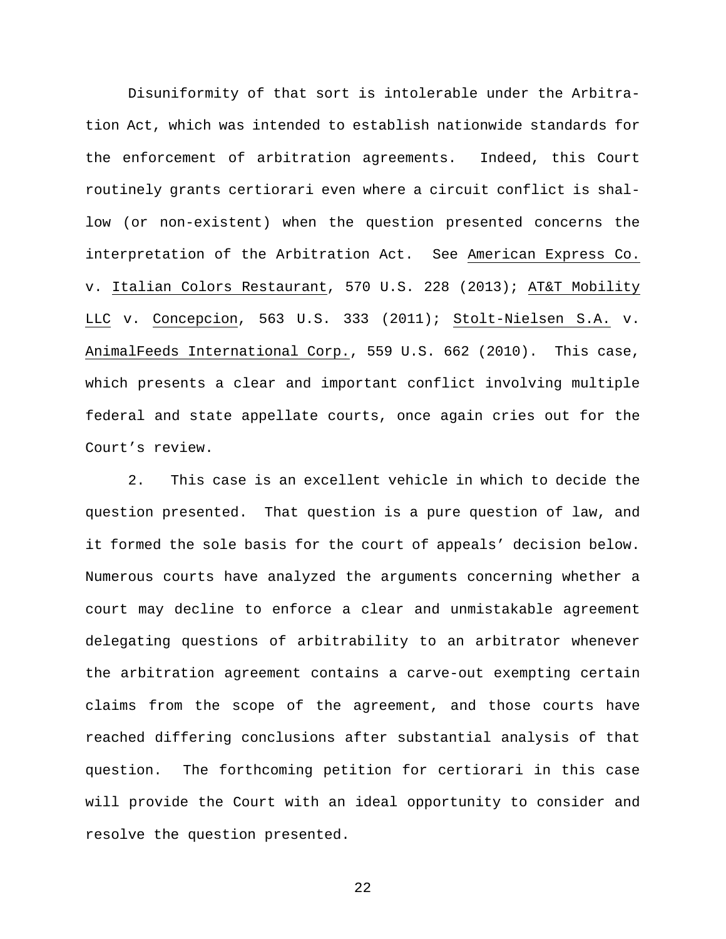Disuniformity of that sort is intolerable under the Arbitration Act, which was intended to establish nationwide standards for the enforcement of arbitration agreements. Indeed, this Court routinely grants certiorari even where a circuit conflict is shallow (or non-existent) when the question presented concerns the interpretation of the Arbitration Act. See American Express Co. v. Italian Colors Restaurant, 570 U.S. 228 (2013); AT&T Mobility LLC v. Concepcion, 563 U.S. 333 (2011); Stolt-Nielsen S.A. v. AnimalFeeds International Corp., 559 U.S. 662 (2010). This case, which presents a clear and important conflict involving multiple federal and state appellate courts, once again cries out for the Court's review.

2. This case is an excellent vehicle in which to decide the question presented. That question is a pure question of law, and it formed the sole basis for the court of appeals' decision below. Numerous courts have analyzed the arguments concerning whether a court may decline to enforce a clear and unmistakable agreement delegating questions of arbitrability to an arbitrator whenever the arbitration agreement contains a carve-out exempting certain claims from the scope of the agreement, and those courts have reached differing conclusions after substantial analysis of that question. The forthcoming petition for certiorari in this case will provide the Court with an ideal opportunity to consider and resolve the question presented.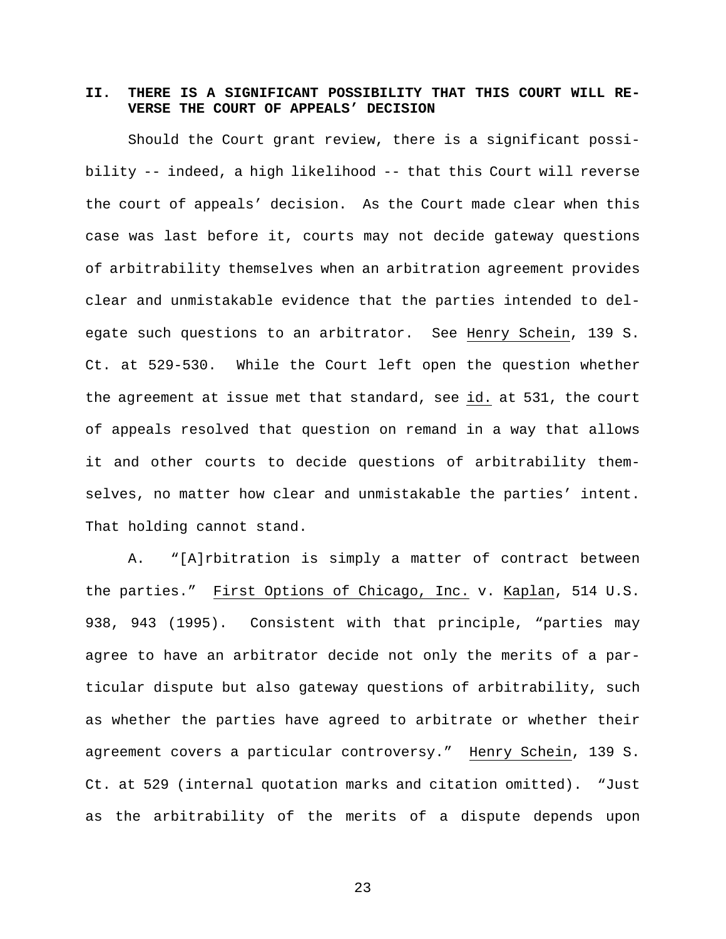# **II. THERE IS A SIGNIFICANT POSSIBILITY THAT THIS COURT WILL RE-VERSE THE COURT OF APPEALS' DECISION**

Should the Court grant review, there is a significant possibility -- indeed, a high likelihood -- that this Court will reverse the court of appeals' decision. As the Court made clear when this case was last before it, courts may not decide gateway questions of arbitrability themselves when an arbitration agreement provides clear and unmistakable evidence that the parties intended to delegate such questions to an arbitrator. See Henry Schein, 139 S. Ct. at 529-530. While the Court left open the question whether the agreement at issue met that standard, see id. at 531, the court of appeals resolved that question on remand in a way that allows it and other courts to decide questions of arbitrability themselves, no matter how clear and unmistakable the parties' intent. That holding cannot stand.

A. "[A]rbitration is simply a matter of contract between the parties." First Options of Chicago, Inc. v. Kaplan, 514 U.S. 938, 943 (1995). Consistent with that principle, "parties may agree to have an arbitrator decide not only the merits of a particular dispute but also gateway questions of arbitrability, such as whether the parties have agreed to arbitrate or whether their agreement covers a particular controversy." Henry Schein, 139 S. Ct. at 529 (internal quotation marks and citation omitted). "Just as the arbitrability of the merits of a dispute depends upon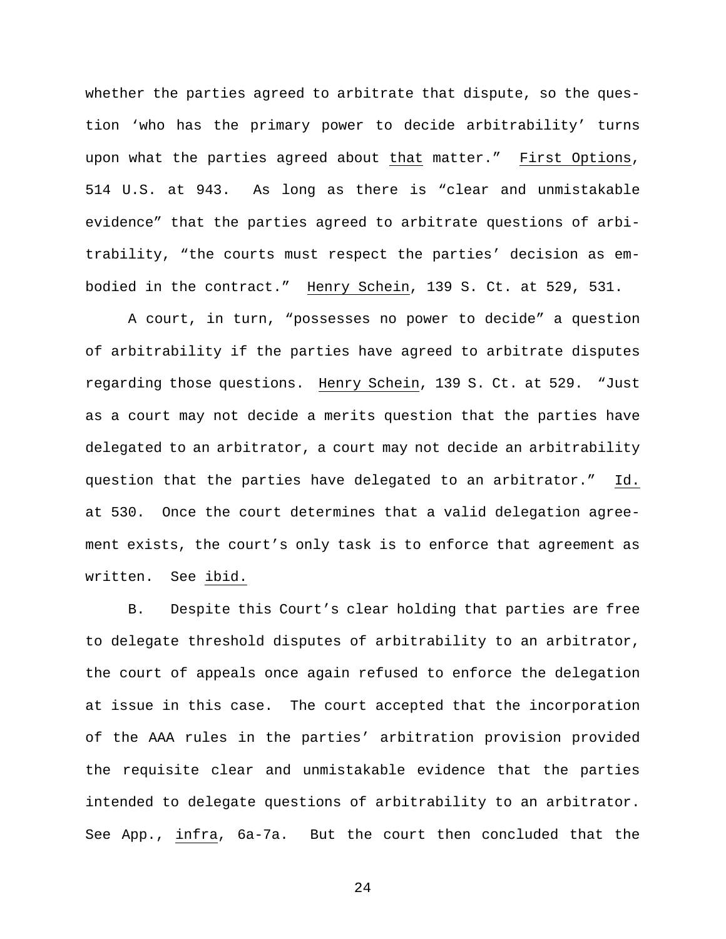whether the parties agreed to arbitrate that dispute, so the question 'who has the primary power to decide arbitrability' turns upon what the parties agreed about that matter." First Options, 514 U.S. at 943. As long as there is "clear and unmistakable evidence" that the parties agreed to arbitrate questions of arbitrability, "the courts must respect the parties' decision as embodied in the contract." Henry Schein, 139 S. Ct. at 529, 531.

A court, in turn, "possesses no power to decide" a question of arbitrability if the parties have agreed to arbitrate disputes regarding those questions. Henry Schein, 139 S. Ct. at 529. "Just as a court may not decide a merits question that the parties have delegated to an arbitrator, a court may not decide an arbitrability question that the parties have delegated to an arbitrator." Id. at 530. Once the court determines that a valid delegation agreement exists, the court's only task is to enforce that agreement as written. See ibid.

B. Despite this Court's clear holding that parties are free to delegate threshold disputes of arbitrability to an arbitrator, the court of appeals once again refused to enforce the delegation at issue in this case. The court accepted that the incorporation of the AAA rules in the parties' arbitration provision provided the requisite clear and unmistakable evidence that the parties intended to delegate questions of arbitrability to an arbitrator. See App., infra, 6a-7a. But the court then concluded that the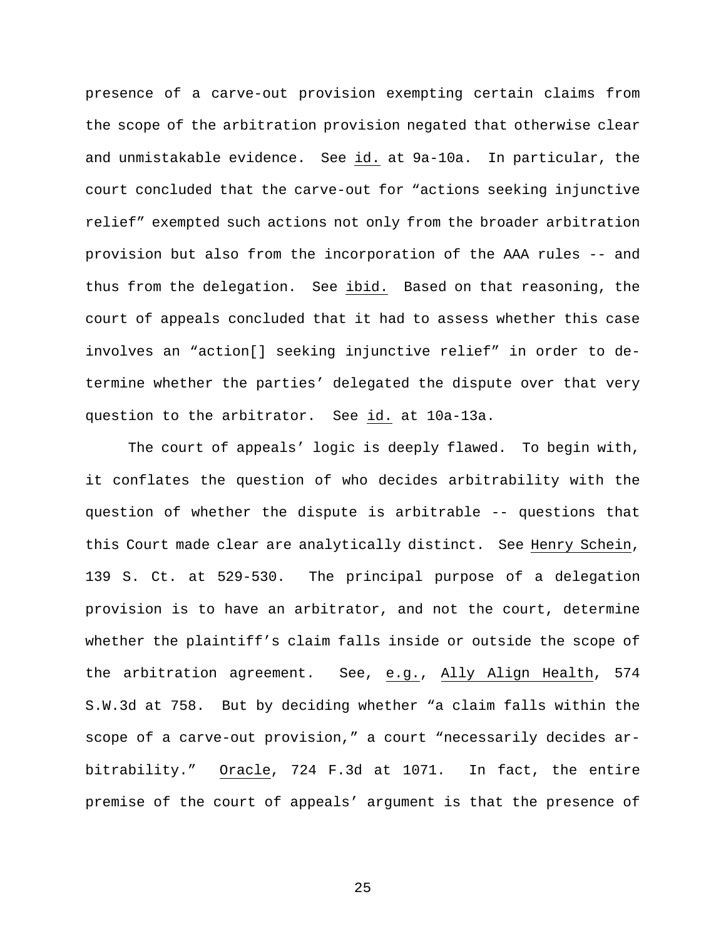presence of a carve-out provision exempting certain claims from the scope of the arbitration provision negated that otherwise clear and unmistakable evidence. See id. at 9a-10a. In particular, the court concluded that the carve-out for "actions seeking injunctive relief" exempted such actions not only from the broader arbitration provision but also from the incorporation of the AAA rules -- and thus from the delegation. See ibid. Based on that reasoning, the court of appeals concluded that it had to assess whether this case involves an "action[] seeking injunctive relief" in order to determine whether the parties' delegated the dispute over that very question to the arbitrator. See id. at 10a-13a.

The court of appeals' logic is deeply flawed. To begin with, it conflates the question of who decides arbitrability with the question of whether the dispute is arbitrable -- questions that this Court made clear are analytically distinct. See Henry Schein, 139 S. Ct. at 529-530. The principal purpose of a delegation provision is to have an arbitrator, and not the court, determine whether the plaintiff's claim falls inside or outside the scope of the arbitration agreement. See, e.g., Ally Align Health, 574 S.W.3d at 758. But by deciding whether "a claim falls within the scope of a carve-out provision," a court "necessarily decides arbitrability." Oracle, 724 F.3d at 1071. In fact, the entire premise of the court of appeals' argument is that the presence of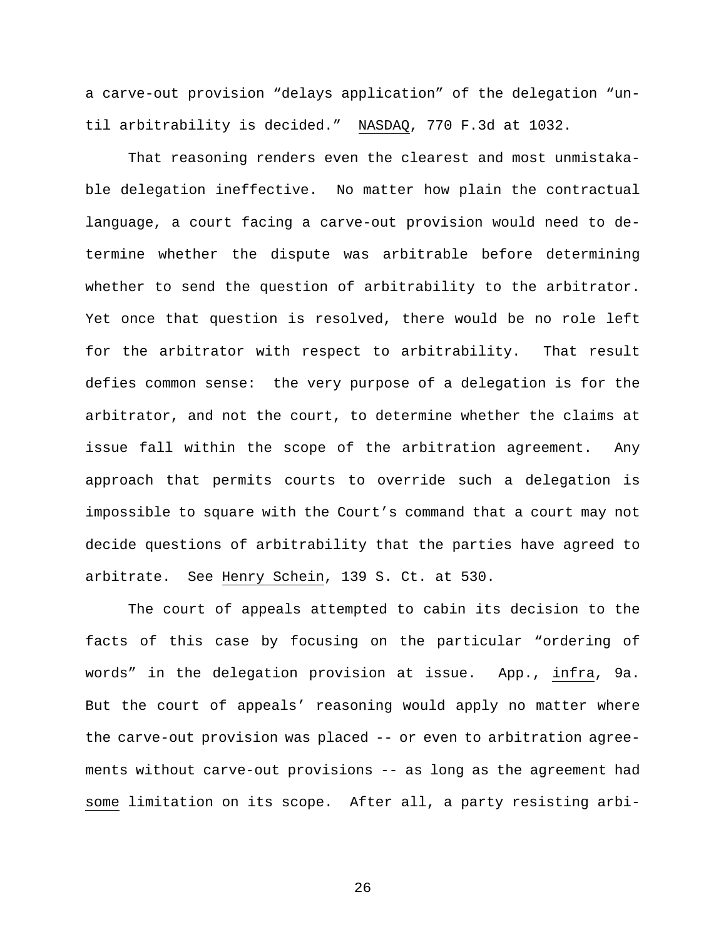a carve-out provision "delays application" of the delegation "until arbitrability is decided." NASDAQ, 770 F.3d at 1032.

That reasoning renders even the clearest and most unmistakable delegation ineffective. No matter how plain the contractual language, a court facing a carve-out provision would need to determine whether the dispute was arbitrable before determining whether to send the question of arbitrability to the arbitrator. Yet once that question is resolved, there would be no role left for the arbitrator with respect to arbitrability. That result defies common sense: the very purpose of a delegation is for the arbitrator, and not the court, to determine whether the claims at issue fall within the scope of the arbitration agreement. Any approach that permits courts to override such a delegation is impossible to square with the Court's command that a court may not decide questions of arbitrability that the parties have agreed to arbitrate. See Henry Schein, 139 S. Ct. at 530.

The court of appeals attempted to cabin its decision to the facts of this case by focusing on the particular "ordering of words" in the delegation provision at issue. App., infra, 9a. But the court of appeals' reasoning would apply no matter where the carve-out provision was placed -- or even to arbitration agreements without carve-out provisions -- as long as the agreement had some limitation on its scope. After all, a party resisting arbi-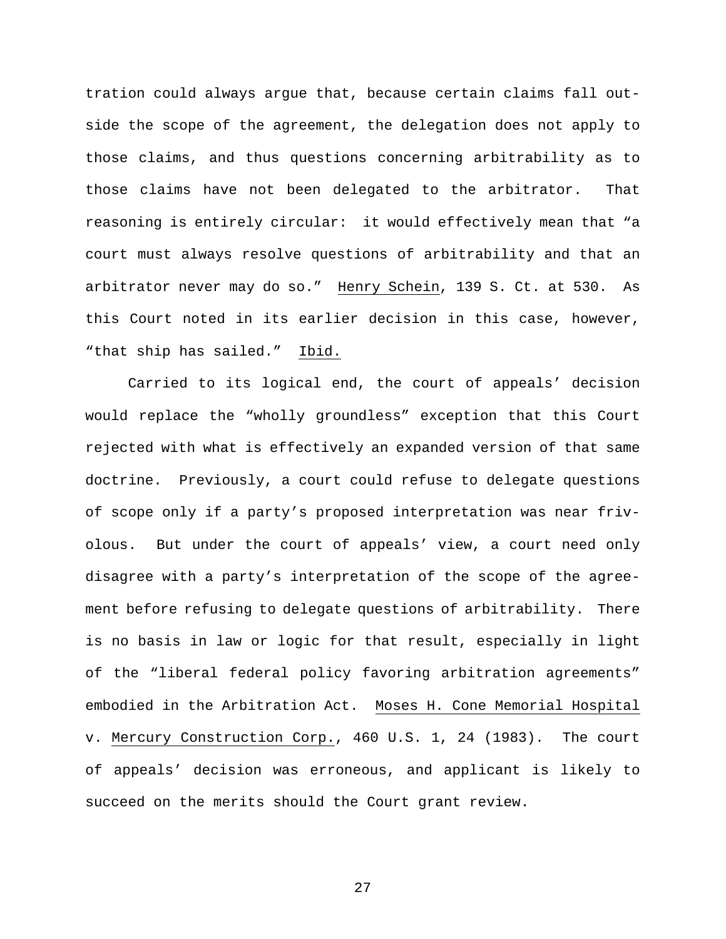tration could always argue that, because certain claims fall outside the scope of the agreement, the delegation does not apply to those claims, and thus questions concerning arbitrability as to those claims have not been delegated to the arbitrator. That reasoning is entirely circular: it would effectively mean that "a court must always resolve questions of arbitrability and that an arbitrator never may do so." Henry Schein, 139 S. Ct. at 530. As this Court noted in its earlier decision in this case, however, "that ship has sailed." Ibid.

Carried to its logical end, the court of appeals' decision would replace the "wholly groundless" exception that this Court rejected with what is effectively an expanded version of that same doctrine. Previously, a court could refuse to delegate questions of scope only if a party's proposed interpretation was near frivolous. But under the court of appeals' view, a court need only disagree with a party's interpretation of the scope of the agreement before refusing to delegate questions of arbitrability. There is no basis in law or logic for that result, especially in light of the "liberal federal policy favoring arbitration agreements" embodied in the Arbitration Act. Moses H. Cone Memorial Hospital v. Mercury Construction Corp., 460 U.S. 1, 24 (1983). The court of appeals' decision was erroneous, and applicant is likely to succeed on the merits should the Court grant review.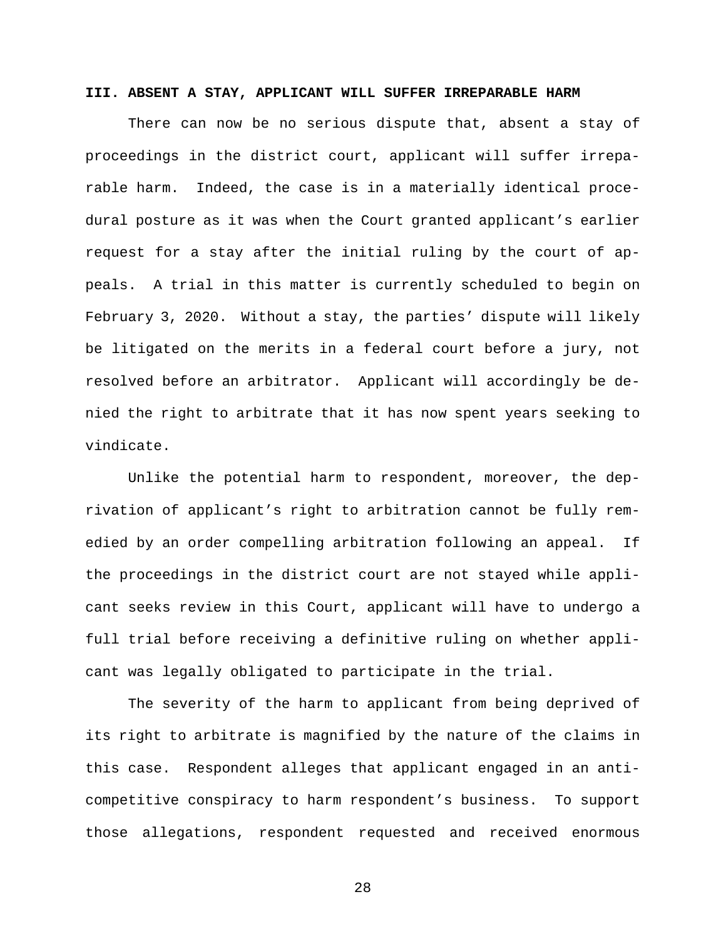### **III. ABSENT A STAY, APPLICANT WILL SUFFER IRREPARABLE HARM**

There can now be no serious dispute that, absent a stay of proceedings in the district court, applicant will suffer irreparable harm. Indeed, the case is in a materially identical procedural posture as it was when the Court granted applicant's earlier request for a stay after the initial ruling by the court of appeals. A trial in this matter is currently scheduled to begin on February 3, 2020. Without a stay, the parties' dispute will likely be litigated on the merits in a federal court before a jury, not resolved before an arbitrator. Applicant will accordingly be denied the right to arbitrate that it has now spent years seeking to vindicate.

Unlike the potential harm to respondent, moreover, the deprivation of applicant's right to arbitration cannot be fully remedied by an order compelling arbitration following an appeal. If the proceedings in the district court are not stayed while applicant seeks review in this Court, applicant will have to undergo a full trial before receiving a definitive ruling on whether applicant was legally obligated to participate in the trial.

The severity of the harm to applicant from being deprived of its right to arbitrate is magnified by the nature of the claims in this case. Respondent alleges that applicant engaged in an anticompetitive conspiracy to harm respondent's business. To support those allegations, respondent requested and received enormous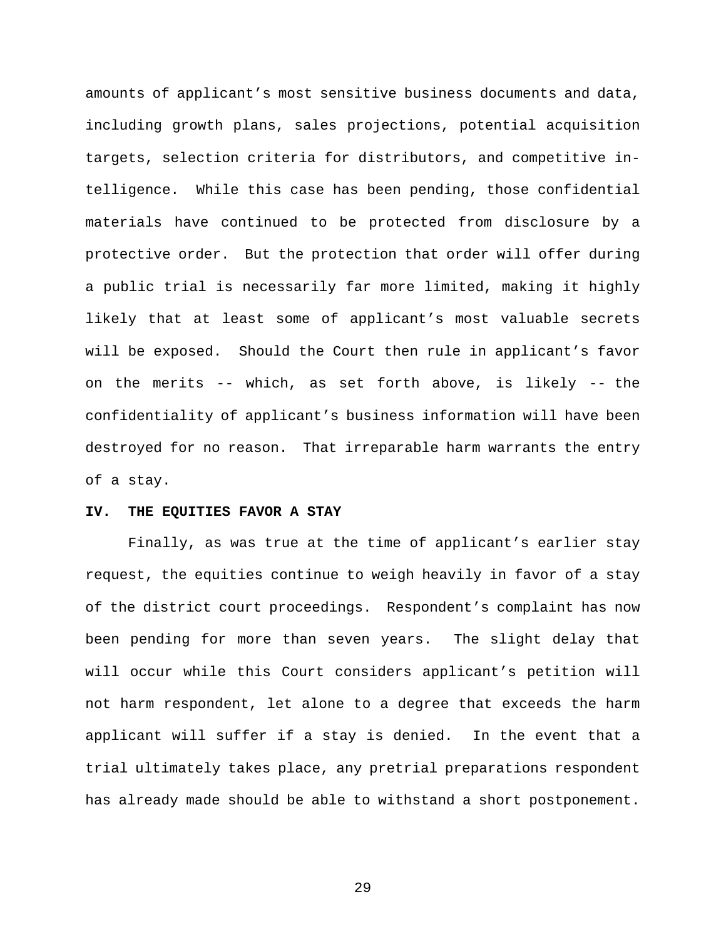amounts of applicant's most sensitive business documents and data, including growth plans, sales projections, potential acquisition targets, selection criteria for distributors, and competitive intelligence. While this case has been pending, those confidential materials have continued to be protected from disclosure by a protective order. But the protection that order will offer during a public trial is necessarily far more limited, making it highly likely that at least some of applicant's most valuable secrets will be exposed. Should the Court then rule in applicant's favor on the merits -- which, as set forth above, is likely -- the confidentiality of applicant's business information will have been destroyed for no reason. That irreparable harm warrants the entry of a stay.

### **IV. THE EQUITIES FAVOR A STAY**

Finally, as was true at the time of applicant's earlier stay request, the equities continue to weigh heavily in favor of a stay of the district court proceedings. Respondent's complaint has now been pending for more than seven years. The slight delay that will occur while this Court considers applicant's petition will not harm respondent, let alone to a degree that exceeds the harm applicant will suffer if a stay is denied. In the event that a trial ultimately takes place, any pretrial preparations respondent has already made should be able to withstand a short postponement.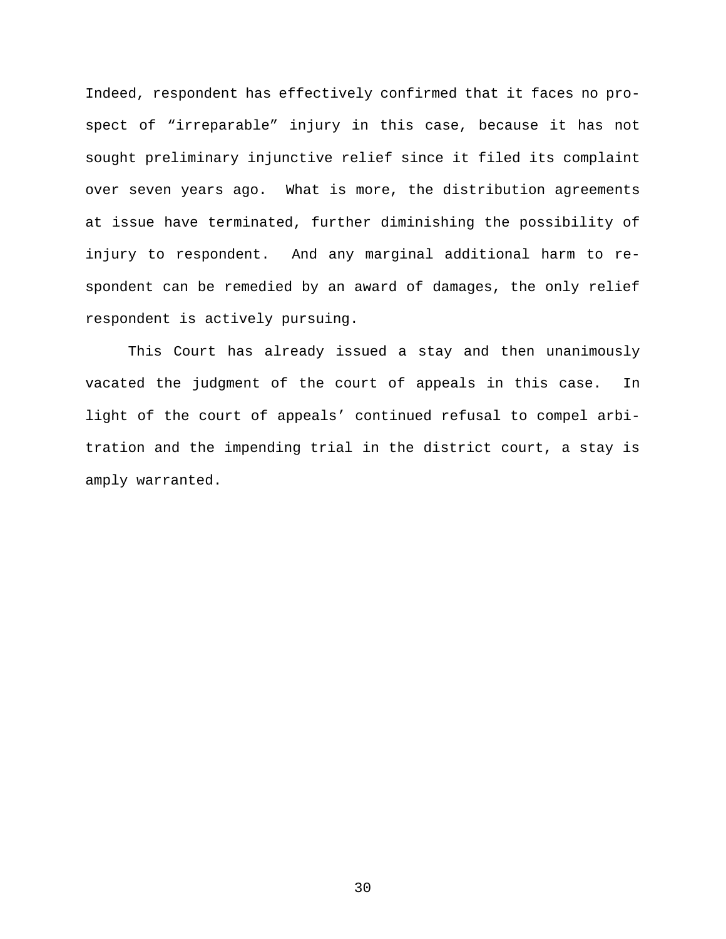Indeed, respondent has effectively confirmed that it faces no prospect of "irreparable" injury in this case, because it has not sought preliminary injunctive relief since it filed its complaint over seven years ago. What is more, the distribution agreements at issue have terminated, further diminishing the possibility of injury to respondent. And any marginal additional harm to respondent can be remedied by an award of damages, the only relief respondent is actively pursuing.

This Court has already issued a stay and then unanimously vacated the judgment of the court of appeals in this case. In light of the court of appeals' continued refusal to compel arbitration and the impending trial in the district court, a stay is amply warranted.